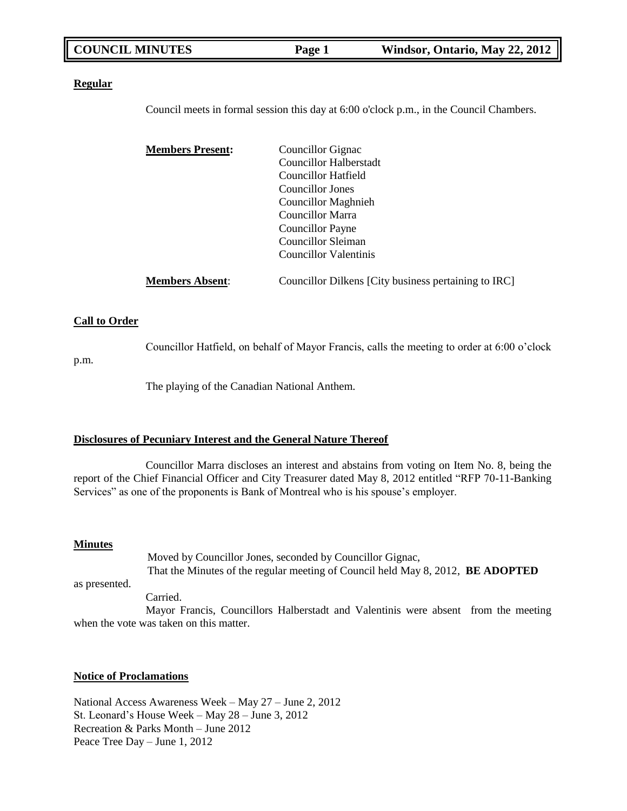| <b>COUNCIL MINUTES</b> | Page 1 | Windsor, O |
|------------------------|--------|------------|
|                        |        |            |

**COUNCIL MAY 22, 2012** 

#### **Regular**

Council meets in formal session this day at 6:00 o'clock p.m., in the Council Chambers.

| <b>Members Present:</b> | Councillor Gignac                                    |
|-------------------------|------------------------------------------------------|
|                         | Councillor Halberstadt                               |
|                         | Councillor Hatfield                                  |
|                         | Councillor Jones                                     |
|                         | <b>Councillor Maghnieh</b>                           |
|                         | Councillor Marra                                     |
|                         | Councillor Payne                                     |
|                         | Councillor Sleiman                                   |
|                         | Councillor Valentinis                                |
|                         |                                                      |
| <b>Members Absent:</b>  | Councillor Dilkens [City business pertaining to IRC] |

### **Call to Order**

Councillor Hatfield, on behalf of Mayor Francis, calls the meeting to order at 6:00 o"clock

p.m.

The playing of the Canadian National Anthem.

### **Disclosures of Pecuniary Interest and the General Nature Thereof**

Councillor Marra discloses an interest and abstains from voting on Item No. 8, being the report of the Chief Financial Officer and City Treasurer dated May 8, 2012 entitled "RFP 70-11-Banking Services" as one of the proponents is Bank of Montreal who is his spouse"s employer.

#### **Minutes**

Moved by Councillor Jones, seconded by Councillor Gignac, That the Minutes of the regular meeting of Council held May 8, 2012, **BE ADOPTED**

as presented.

Carried.

Mayor Francis, Councillors Halberstadt and Valentinis were absent from the meeting when the vote was taken on this matter.

### **Notice of Proclamations**

National Access Awareness Week – May 27 – June 2, 2012 St. Leonard"s House Week – May 28 – June 3, 2012 Recreation & Parks Month – June 2012 Peace Tree Day – June 1, 2012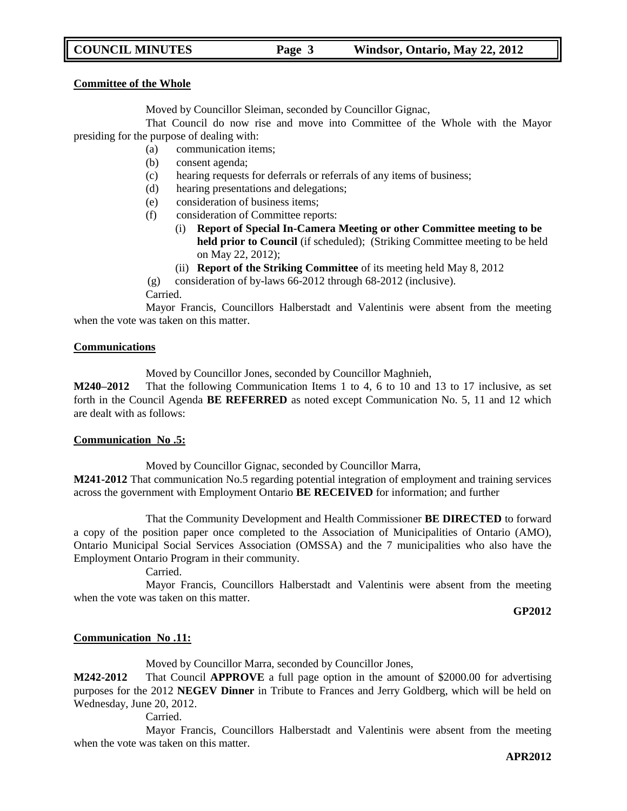### **COUNCIL MINUTES Page 3 Windsor, Ontario, May 22, 2012**

#### **Committee of the Whole**

Moved by Councillor Sleiman, seconded by Councillor Gignac,

That Council do now rise and move into Committee of the Whole with the Mayor presiding for the purpose of dealing with:

- (a) communication items;
- (b) consent agenda;
- (c) hearing requests for deferrals or referrals of any items of business;
- (d) hearing presentations and delegations;
- (e) consideration of business items;
- (f) consideration of Committee reports:
	- (i) **Report of Special In-Camera Meeting or other Committee meeting to be held prior to Council** (if scheduled); (Striking Committee meeting to be held on May 22, 2012);
		- (ii) **Report of the Striking Committee** of its meeting held May 8, 2012
- (g) consideration of by-laws 66-2012 through 68-2012 (inclusive).

Carried.

Mayor Francis, Councillors Halberstadt and Valentinis were absent from the meeting when the vote was taken on this matter.

#### **Communications**

Moved by Councillor Jones, seconded by Councillor Maghnieh,

**M240–2012** That the following Communication Items 1 to 4, 6 to 10 and 13 to 17 inclusive, as set forth in the Council Agenda **BE REFERRED** as noted except Communication No. 5, 11 and 12 which are dealt with as follows:

#### **Communication No .5:**

Moved by Councillor Gignac, seconded by Councillor Marra,

**M241-2012** That communication No.5 regarding potential integration of employment and training services across the government with Employment Ontario **BE RECEIVED** for information; and further

That the Community Development and Health Commissioner **BE DIRECTED** to forward a copy of the position paper once completed to the Association of Municipalities of Ontario (AMO), Ontario Municipal Social Services Association (OMSSA) and the 7 municipalities who also have the Employment Ontario Program in their community.

Carried.

Mayor Francis, Councillors Halberstadt and Valentinis were absent from the meeting when the vote was taken on this matter.

**GP2012**

#### **Communication No .11:**

Moved by Councillor Marra, seconded by Councillor Jones,

**M242-2012** That Council **APPROVE** a full page option in the amount of \$2000.00 for advertising purposes for the 2012 **NEGEV Dinner** in Tribute to Frances and Jerry Goldberg, which will be held on Wednesday, June 20, 2012.

Carried.

Mayor Francis, Councillors Halberstadt and Valentinis were absent from the meeting when the vote was taken on this matter.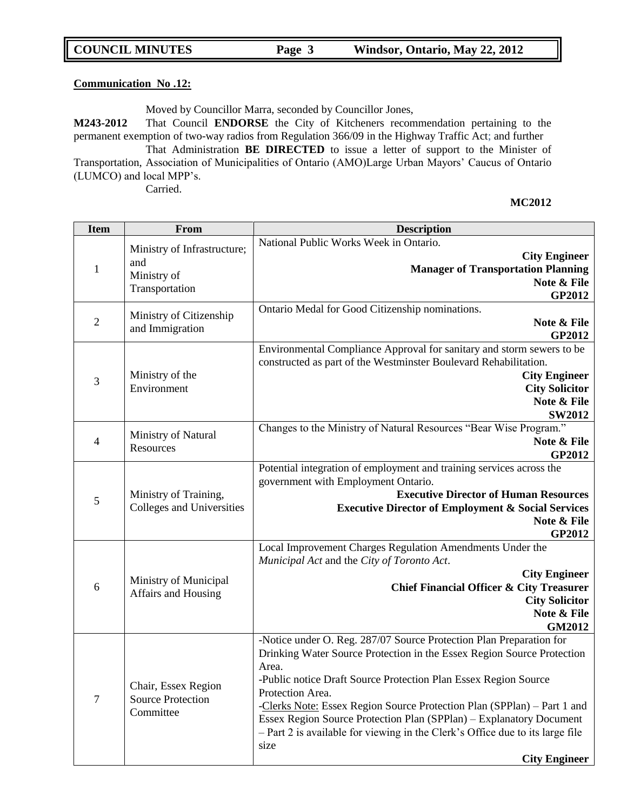| <b>COUNCIL MINUTES</b> | Page 3 | Windsor, Ontario, May 22, 2012 |
|------------------------|--------|--------------------------------|
|                        |        |                                |

#### **Communication No .12:**

Moved by Councillor Marra, seconded by Councillor Jones,

**M243-2012** That Council **ENDORSE** the City of Kitcheners recommendation pertaining to the permanent exemption of two-way radios from Regulation 366/09 in the Highway Traffic Act; and further That Administration **BE DIRECTED** to issue a letter of support to the Minister of Transportation, Association of Municipalities of Ontario (AMO)Large Urban Mayors" Caucus of Ontario (LUMCO) and local MPP"s. Carried.

| <b>Item</b>    | <b>From</b>                                                         | <b>Description</b>                                                                                                                                                                                                                                                                                                                                                                                                                                                                                               |
|----------------|---------------------------------------------------------------------|------------------------------------------------------------------------------------------------------------------------------------------------------------------------------------------------------------------------------------------------------------------------------------------------------------------------------------------------------------------------------------------------------------------------------------------------------------------------------------------------------------------|
| $\mathbf{1}$   | Ministry of Infrastructure;<br>and<br>Ministry of<br>Transportation | National Public Works Week in Ontario.<br><b>City Engineer</b><br><b>Manager of Transportation Planning</b><br>Note & File<br><b>GP2012</b>                                                                                                                                                                                                                                                                                                                                                                      |
| $\mathfrak{2}$ | Ministry of Citizenship<br>and Immigration                          | Ontario Medal for Good Citizenship nominations.<br>Note & File<br>GP2012                                                                                                                                                                                                                                                                                                                                                                                                                                         |
| 3              | Ministry of the<br>Environment                                      | Environmental Compliance Approval for sanitary and storm sewers to be<br>constructed as part of the Westminster Boulevard Rehabilitation.<br><b>City Engineer</b><br><b>City Solicitor</b><br>Note & File<br><b>SW2012</b>                                                                                                                                                                                                                                                                                       |
| 4              | Ministry of Natural<br>Resources                                    | Changes to the Ministry of Natural Resources "Bear Wise Program."<br>Note & File<br><b>GP2012</b>                                                                                                                                                                                                                                                                                                                                                                                                                |
| 5              | Ministry of Training,<br>Colleges and Universities                  | Potential integration of employment and training services across the<br>government with Employment Ontario.<br><b>Executive Director of Human Resources</b><br><b>Executive Director of Employment &amp; Social Services</b><br>Note & File<br>GP2012                                                                                                                                                                                                                                                            |
| 6              | Ministry of Municipal<br>Affairs and Housing                        | Local Improvement Charges Regulation Amendments Under the<br>Municipal Act and the City of Toronto Act.<br><b>City Engineer</b><br><b>Chief Financial Officer &amp; City Treasurer</b><br><b>City Solicitor</b><br>Note & File<br><b>GM2012</b>                                                                                                                                                                                                                                                                  |
| $\overline{7}$ | Chair, Essex Region<br><b>Source Protection</b><br>Committee        | -Notice under O. Reg. 287/07 Source Protection Plan Preparation for<br>Drinking Water Source Protection in the Essex Region Source Protection<br>Area.<br>-Public notice Draft Source Protection Plan Essex Region Source<br>Protection Area.<br>-Clerks Note: Essex Region Source Protection Plan (SPPlan) – Part 1 and<br>Essex Region Source Protection Plan (SPPlan) – Explanatory Document<br>- Part 2 is available for viewing in the Clerk's Office due to its large file<br>size<br><b>City Engineer</b> |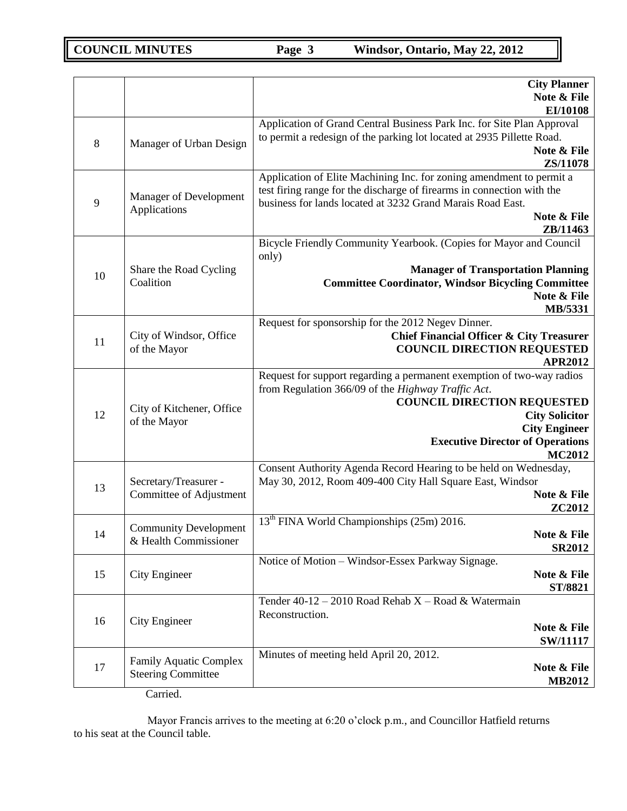|    |                                                            | <b>City Planner</b><br>Note & File<br>EI/10108                                                                                                                                                                                                                                 |
|----|------------------------------------------------------------|--------------------------------------------------------------------------------------------------------------------------------------------------------------------------------------------------------------------------------------------------------------------------------|
| 8  | Manager of Urban Design                                    | Application of Grand Central Business Park Inc. for Site Plan Approval<br>to permit a redesign of the parking lot located at 2935 Pillette Road.<br>Note & File<br>ZS/11078                                                                                                    |
| 9  | Manager of Development<br>Applications                     | Application of Elite Machining Inc. for zoning amendment to permit a<br>test firing range for the discharge of firearms in connection with the<br>business for lands located at 3232 Grand Marais Road East.<br>Note & File<br>ZB/11463                                        |
| 10 | Share the Road Cycling<br>Coalition                        | Bicycle Friendly Community Yearbook. (Copies for Mayor and Council<br>only)<br><b>Manager of Transportation Planning</b><br><b>Committee Coordinator, Windsor Bicycling Committee</b><br>Note & File<br>MB/5331                                                                |
| 11 | City of Windsor, Office<br>of the Mayor                    | Request for sponsorship for the 2012 Negev Dinner.<br><b>Chief Financial Officer &amp; City Treasurer</b><br><b>COUNCIL DIRECTION REQUESTED</b><br><b>APR2012</b>                                                                                                              |
| 12 | City of Kitchener, Office<br>of the Mayor                  | Request for support regarding a permanent exemption of two-way radios<br>from Regulation 366/09 of the Highway Traffic Act.<br><b>COUNCIL DIRECTION REQUESTED</b><br><b>City Solicitor</b><br><b>City Engineer</b><br><b>Executive Director of Operations</b><br><b>MC2012</b> |
| 13 | Secretary/Treasurer -<br>Committee of Adjustment           | Consent Authority Agenda Record Hearing to be held on Wednesday,<br>May 30, 2012, Room 409-400 City Hall Square East, Windsor<br>Note & File<br>ZC2012                                                                                                                         |
| 14 | <b>Community Development</b><br>& Health Commissioner      | 13 <sup>th</sup> FINA World Championships (25m) 2016.<br>Note & File<br><b>SR2012</b>                                                                                                                                                                                          |
| 15 | <b>City Engineer</b>                                       | Notice of Motion - Windsor-Essex Parkway Signage.<br>Note & File<br>ST/8821                                                                                                                                                                                                    |
| 16 | <b>City Engineer</b>                                       | Tender $40-12 - 2010$ Road Rehab X - Road & Watermain<br>Reconstruction.<br>Note & File<br><b>SW/11117</b>                                                                                                                                                                     |
| 17 | <b>Family Aquatic Complex</b><br><b>Steering Committee</b> | Minutes of meeting held April 20, 2012.<br>Note & File<br><b>MB2012</b>                                                                                                                                                                                                        |

Carried.

Mayor Francis arrives to the meeting at 6:20 o'clock p.m., and Councillor Hatfield returns to his seat at the Council table.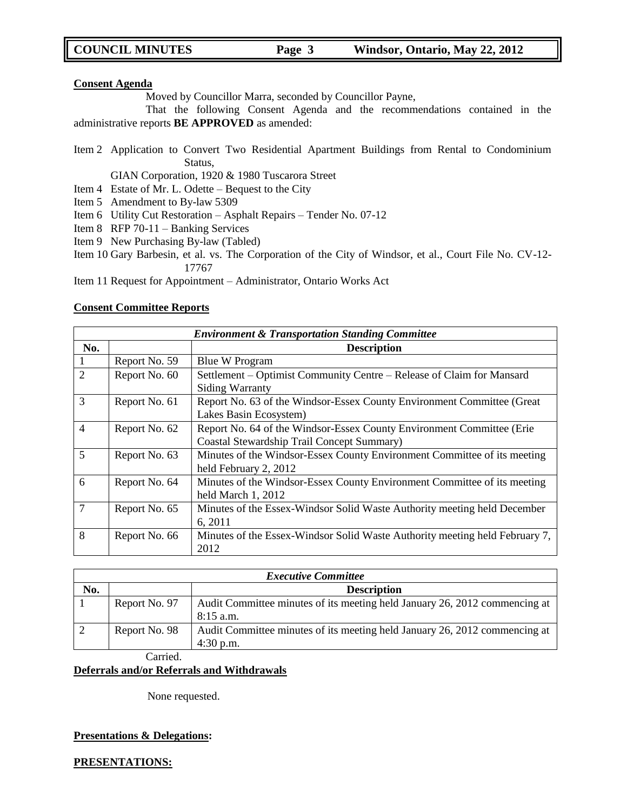#### **Consent Agenda**

Moved by Councillor Marra, seconded by Councillor Payne,

That the following Consent Agenda and the recommendations contained in the administrative reports **BE APPROVED** as amended:

Item 2 Application to Convert Two Residential Apartment Buildings from Rental to Condominium Status,

GIAN Corporation, 1920 & 1980 Tuscarora Street

- Item 4 Estate of Mr. L. Odette Bequest to the City
- Item 5 Amendment to By-law 5309
- Item 6 Utility Cut Restoration Asphalt Repairs Tender No. 07-12
- Item 8 RFP 70-11 Banking Services
- Item 9 New Purchasing By-law (Tabled)
- Item 10 Gary Barbesin, et al. vs. The Corporation of the City of Windsor, et al., Court File No. CV-12- 17767

Item 11 Request for Appointment – Administrator, Ontario Works Act

#### **Consent Committee Reports**

| <b>Environment &amp; Transportation Standing Committee</b> |               |                                                                             |  |
|------------------------------------------------------------|---------------|-----------------------------------------------------------------------------|--|
| No.                                                        |               | <b>Description</b>                                                          |  |
|                                                            | Report No. 59 | <b>Blue W Program</b>                                                       |  |
| $\overline{2}$                                             | Report No. 60 | Settlement – Optimist Community Centre – Release of Claim for Mansard       |  |
|                                                            |               | <b>Siding Warranty</b>                                                      |  |
| 3                                                          | Report No. 61 | Report No. 63 of the Windsor-Essex County Environment Committee (Great      |  |
|                                                            |               | Lakes Basin Ecosystem)                                                      |  |
| $\overline{4}$                                             | Report No. 62 | Report No. 64 of the Windsor-Essex County Environment Committee (Erie       |  |
|                                                            |               | Coastal Stewardship Trail Concept Summary)                                  |  |
| 5                                                          | Report No. 63 | Minutes of the Windsor-Essex County Environment Committee of its meeting    |  |
|                                                            |               | held February 2, 2012                                                       |  |
| 6                                                          | Report No. 64 | Minutes of the Windsor-Essex County Environment Committee of its meeting    |  |
|                                                            |               | held March 1, 2012                                                          |  |
| 7                                                          | Report No. 65 | Minutes of the Essex-Windsor Solid Waste Authority meeting held December    |  |
|                                                            |               | 6, 2011                                                                     |  |
| 8                                                          | Report No. 66 | Minutes of the Essex-Windsor Solid Waste Authority meeting held February 7, |  |
|                                                            |               | 2012                                                                        |  |

| <b>Executive Committee</b> |                 |                                                                                           |
|----------------------------|-----------------|-------------------------------------------------------------------------------------------|
| No.                        |                 | <b>Description</b>                                                                        |
|                            | Report No. 97   | Audit Committee minutes of its meeting held January 26, 2012 commencing at<br>$8:15$ a.m. |
|                            | Report No. 98   | Audit Committee minutes of its meeting held January 26, 2012 commencing at<br>$4:30$ p.m. |
|                            | $\sim$ $\sim$ 1 |                                                                                           |

Carried.

#### **Deferrals and/or Referrals and Withdrawals**

None requested.

#### **Presentations & Delegations:**

**PRESENTATIONS:**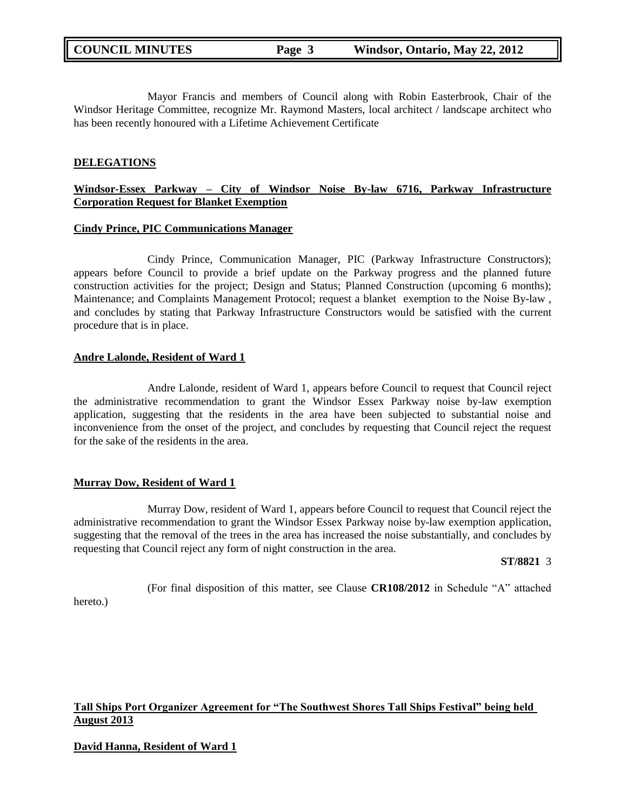Mayor Francis and members of Council along with Robin Easterbrook, Chair of the Windsor Heritage Committee, recognize Mr. Raymond Masters, local architect / landscape architect who has been recently honoured with a Lifetime Achievement Certificate

#### **DELEGATIONS**

### **Windsor-Essex Parkway – City of Windsor Noise By-law 6716, Parkway Infrastructure Corporation Request for Blanket Exemption**

#### **Cindy Prince, PIC Communications Manager**

Cindy Prince, Communication Manager, PIC (Parkway Infrastructure Constructors); appears before Council to provide a brief update on the Parkway progress and the planned future construction activities for the project; Design and Status; Planned Construction (upcoming 6 months); Maintenance; and Complaints Management Protocol; request a blanket exemption to the Noise By-law , and concludes by stating that Parkway Infrastructure Constructors would be satisfied with the current procedure that is in place.

#### **Andre Lalonde, Resident of Ward 1**

Andre Lalonde, resident of Ward 1, appears before Council to request that Council reject the administrative recommendation to grant the Windsor Essex Parkway noise by-law exemption application, suggesting that the residents in the area have been subjected to substantial noise and inconvenience from the onset of the project, and concludes by requesting that Council reject the request for the sake of the residents in the area.

#### **Murray Dow, Resident of Ward 1**

Murray Dow, resident of Ward 1, appears before Council to request that Council reject the administrative recommendation to grant the Windsor Essex Parkway noise by-law exemption application, suggesting that the removal of the trees in the area has increased the noise substantially, and concludes by requesting that Council reject any form of night construction in the area.

**ST/8821** 3

(For final disposition of this matter, see Clause **CR108/2012** in Schedule "A" attached

#### hereto.)

#### **Tall Ships Port Organizer Agreement for "The Southwest Shores Tall Ships Festival" being held August 2013**

#### **David Hanna, Resident of Ward 1**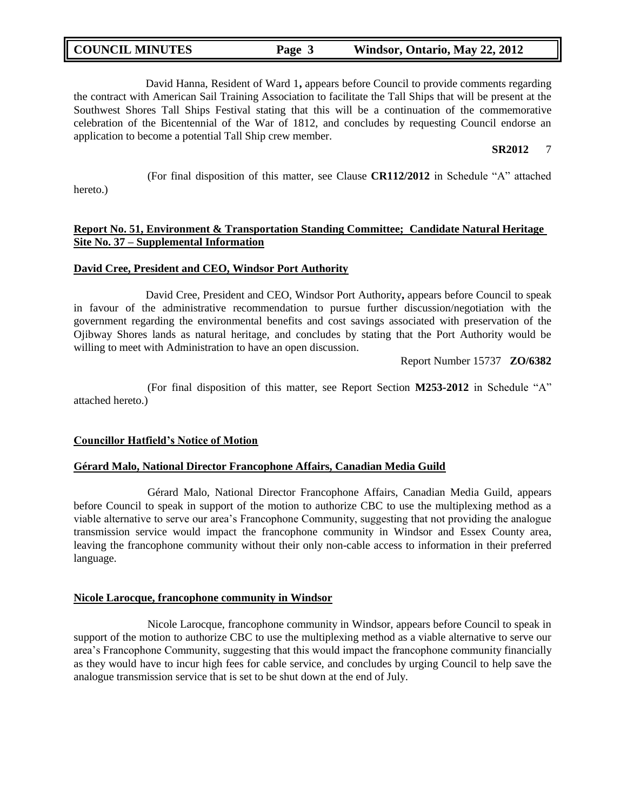David Hanna, Resident of Ward 1**,** appears before Council to provide comments regarding the contract with American Sail Training Association to facilitate the Tall Ships that will be present at the Southwest Shores Tall Ships Festival stating that this will be a continuation of the commemorative celebration of the Bicentennial of the War of 1812, and concludes by requesting Council endorse an application to become a potential Tall Ship crew member.

#### **SR2012** 7

hereto.)

(For final disposition of this matter, see Clause **CR112/2012** in Schedule "A" attached

### **Report No. 51, Environment & Transportation Standing Committee; Candidate Natural Heritage Site No. 37 – Supplemental Information**

#### **David Cree, President and CEO, Windsor Port Authority**

David Cree, President and CEO, Windsor Port Authority**,** appears before Council to speak in favour of the administrative recommendation to pursue further discussion/negotiation with the government regarding the environmental benefits and cost savings associated with preservation of the Ojibway Shores lands as natural heritage, and concludes by stating that the Port Authority would be willing to meet with Administration to have an open discussion.

Report Number 15737 **ZO/6382**

(For final disposition of this matter, see Report Section **M253-2012** in Schedule "A" attached hereto.)

#### **Councillor Hatfield's Notice of Motion**

#### **Gérard Malo, National Director Francophone Affairs, Canadian Media Guild**

Gérard Malo, National Director Francophone Affairs, Canadian Media Guild, appears before Council to speak in support of the motion to authorize CBC to use the multiplexing method as a viable alternative to serve our area"s Francophone Community, suggesting that not providing the analogue transmission service would impact the francophone community in Windsor and Essex County area, leaving the francophone community without their only non-cable access to information in their preferred language.

#### **Nicole Larocque, francophone community in Windsor**

Nicole Larocque, francophone community in Windsor, appears before Council to speak in support of the motion to authorize CBC to use the multiplexing method as a viable alternative to serve our area"s Francophone Community, suggesting that this would impact the francophone community financially as they would have to incur high fees for cable service, and concludes by urging Council to help save the analogue transmission service that is set to be shut down at the end of July.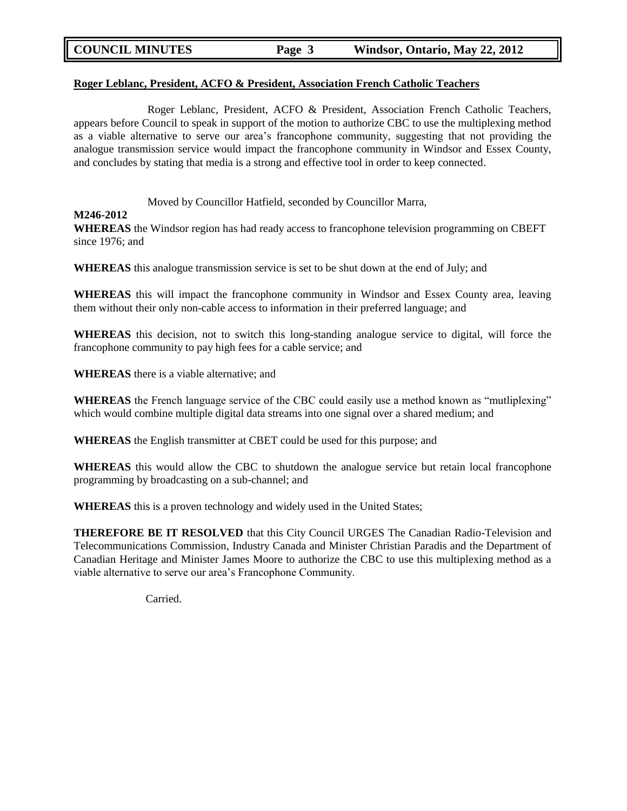| <b>COUNCIL MINUTES</b> | Page 3 | Windsor, Ontario, May 22, 2012 |
|------------------------|--------|--------------------------------|
|                        |        |                                |

#### **Roger Leblanc, President, ACFO & President, Association French Catholic Teachers**

Roger Leblanc, President, ACFO & President, Association French Catholic Teachers, appears before Council to speak in support of the motion to authorize CBC to use the multiplexing method as a viable alternative to serve our area"s francophone community, suggesting that not providing the analogue transmission service would impact the francophone community in Windsor and Essex County, and concludes by stating that media is a strong and effective tool in order to keep connected.

Moved by Councillor Hatfield, seconded by Councillor Marra,

#### **M246-2012**

**WHEREAS** the Windsor region has had ready access to francophone television programming on CBEFT since 1976; and

**WHEREAS** this analogue transmission service is set to be shut down at the end of July; and

**WHEREAS** this will impact the francophone community in Windsor and Essex County area, leaving them without their only non-cable access to information in their preferred language; and

**WHEREAS** this decision, not to switch this long-standing analogue service to digital, will force the francophone community to pay high fees for a cable service; and

**WHEREAS** there is a viable alternative; and

**WHEREAS** the French language service of the CBC could easily use a method known as "mutliplexing" which would combine multiple digital data streams into one signal over a shared medium; and

**WHEREAS** the English transmitter at CBET could be used for this purpose; and

**WHEREAS** this would allow the CBC to shutdown the analogue service but retain local francophone programming by broadcasting on a sub-channel; and

**WHEREAS** this is a proven technology and widely used in the United States;

**THEREFORE BE IT RESOLVED** that this City Council URGES The Canadian Radio-Television and Telecommunications Commission, Industry Canada and Minister Christian Paradis and the Department of Canadian Heritage and Minister James Moore to authorize the CBC to use this multiplexing method as a viable alternative to serve our area"s Francophone Community.

Carried.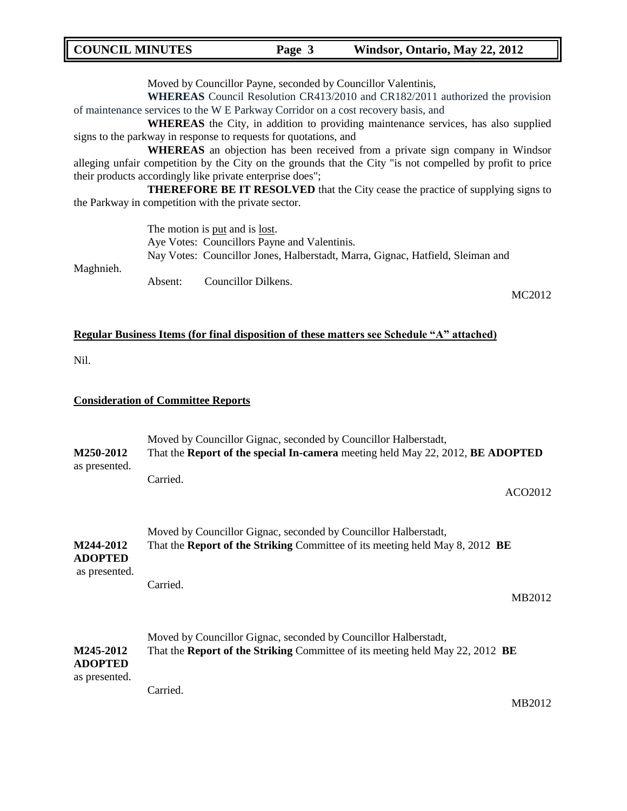### **COUNCIL MINUTES Page 3 Windsor, Ontario, May 22, 2012**

Moved by Councillor Payne, seconded by Councillor Valentinis,

**WHEREAS** Council Resolution CR413/2010 and CR182/2011 authorized the provision of maintenance services to the W E Parkway Corridor on a cost recovery basis, and

**WHEREAS** the City, in addition to providing maintenance services, has also supplied signs to the parkway in response to requests for quotations, and

**WHEREAS** an objection has been received from a private sign company in Windsor alleging unfair competition by the City on the grounds that the City "is not compelled by profit to price their products accordingly like private enterprise does";

**THEREFORE BE IT RESOLVED** that the City cease the practice of supplying signs to the Parkway in competition with the private sector.

> The motion is put and is lost. Aye Votes: Councillors Payne and Valentinis. Nay Votes: Councillor Jones, Halberstadt, Marra, Gignac, Hatfield, Sleiman and

Maghnieh. Absent: Councillor Dilkens.

MC2012

# **Regular Business Items (for final disposition of these matters see Schedule "A" attached)**

Nil.

#### **Consideration of Committee Reports**

| M250-2012                                    | Moved by Councillor Gignac, seconded by Councillor Halberstadt,<br>That the Report of the special In-camera meeting held May 22, 2012, BE ADOPTED             |  |  |
|----------------------------------------------|---------------------------------------------------------------------------------------------------------------------------------------------------------------|--|--|
| as presented.                                | Carried.<br>ACO <sub>2012</sub>                                                                                                                               |  |  |
| M244-2012<br><b>ADOPTED</b>                  | Moved by Councillor Gignac, seconded by Councillor Halberstadt,<br>That the <b>Report of the Striking</b> Committee of its meeting held May 8, 2012 <b>BE</b> |  |  |
| as presented.                                | Carried.<br>MB2012                                                                                                                                            |  |  |
| M245-2012<br><b>ADOPTED</b><br>as presented. | Moved by Councillor Gignac, seconded by Councillor Halberstadt,<br>That the Report of the Striking Committee of its meeting held May 22, 2012 BE              |  |  |
|                                              | Carried.<br>MB2012                                                                                                                                            |  |  |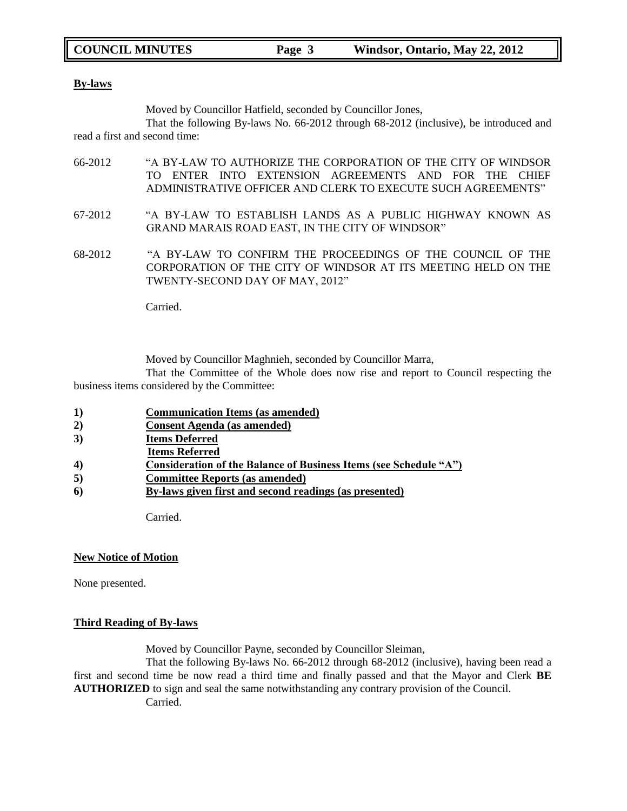|  | <b>COUNCIL MINUTES</b> | Page 3 | Windsor, Ontario, May 22, 2012 |
|--|------------------------|--------|--------------------------------|
|--|------------------------|--------|--------------------------------|

#### **By-laws**

Moved by Councillor Hatfield, seconded by Councillor Jones,

That the following By-laws No. 66-2012 through 68-2012 (inclusive), be introduced and read a first and second time:

- 66-2012 "A BY-LAW TO AUTHORIZE THE CORPORATION OF THE CITY OF WINDSOR TO ENTER INTO EXTENSION AGREEMENTS AND FOR THE CHIEF ADMINISTRATIVE OFFICER AND CLERK TO EXECUTE SUCH AGREEMENTS"
- 67-2012 "A BY-LAW TO ESTABLISH LANDS AS A PUBLIC HIGHWAY KNOWN AS GRAND MARAIS ROAD EAST, IN THE CITY OF WINDSOR"
- 68-2012 "A BY-LAW TO CONFIRM THE PROCEEDINGS OF THE COUNCIL OF THE CORPORATION OF THE CITY OF WINDSOR AT ITS MEETING HELD ON THE TWENTY-SECOND DAY OF MAY, 2012"

Carried.

Moved by Councillor Maghnieh, seconded by Councillor Marra,

That the Committee of the Whole does now rise and report to Council respecting the business items considered by the Committee:

- **1) Communication Items (as amended)**
- **2) Consent Agenda (as amended)**
- **3) Items Deferred**
- **Items Referred**
- **4) Consideration of the Balance of Business Items (see Schedule "A")**
- **5) Committee Reports (as amended)**
- **6) By-laws given first and second readings (as presented)**

**Carried** 

#### **New Notice of Motion**

None presented.

### **Third Reading of By-laws**

Moved by Councillor Payne, seconded by Councillor Sleiman,

That the following By-laws No. 66-2012 through 68-2012 (inclusive), having been read a first and second time be now read a third time and finally passed and that the Mayor and Clerk **BE AUTHORIZED** to sign and seal the same notwithstanding any contrary provision of the Council. Carried.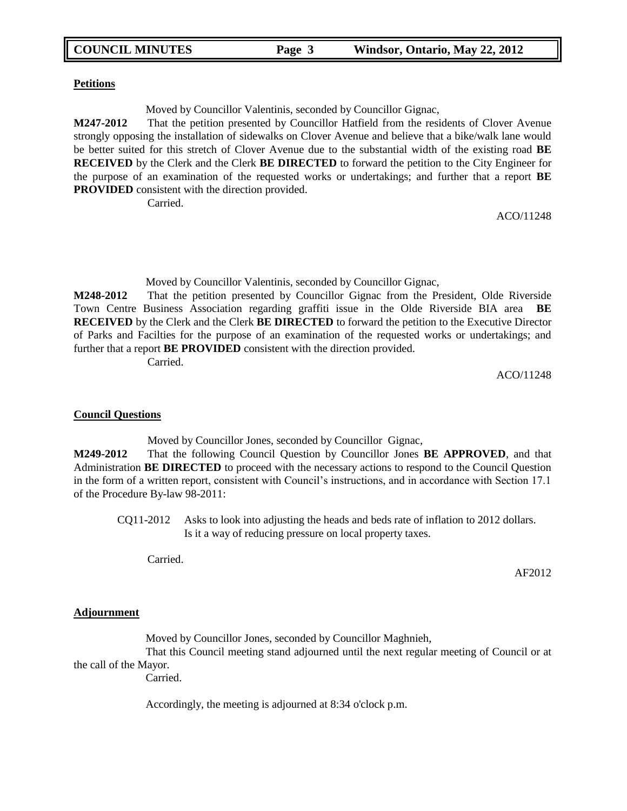| <b>COUNCIL MINUTES</b> | Page 3 | Windsor, Ontario, May 22, 2012 |
|------------------------|--------|--------------------------------|
|                        |        |                                |

#### **Petitions**

Moved by Councillor Valentinis, seconded by Councillor Gignac,

**M247-2012** That the petition presented by Councillor Hatfield from the residents of Clover Avenue strongly opposing the installation of sidewalks on Clover Avenue and believe that a bike/walk lane would be better suited for this stretch of Clover Avenue due to the substantial width of the existing road **BE RECEIVED** by the Clerk and the Clerk **BE DIRECTED** to forward the petition to the City Engineer for the purpose of an examination of the requested works or undertakings; and further that a report **BE PROVIDED** consistent with the direction provided.

Carried.

ACO/11248

Moved by Councillor Valentinis, seconded by Councillor Gignac,

**M248-2012** That the petition presented by Councillor Gignac from the President, Olde Riverside Town Centre Business Association regarding graffiti issue in the Olde Riverside BIA area **BE RECEIVED** by the Clerk and the Clerk **BE DIRECTED** to forward the petition to the Executive Director of Parks and Facilties for the purpose of an examination of the requested works or undertakings; and further that a report **BE PROVIDED** consistent with the direction provided.

Carried.

ACO/11248

#### **Council Questions**

Moved by Councillor Jones, seconded by Councillor Gignac,

**M249-2012** That the following Council Question by Councillor Jones **BE APPROVED**, and that Administration **BE DIRECTED** to proceed with the necessary actions to respond to the Council Question in the form of a written report, consistent with Council"s instructions, and in accordance with Section 17.1 of the Procedure By-law 98-2011:

CQ11-2012 Asks to look into adjusting the heads and beds rate of inflation to 2012 dollars. Is it a way of reducing pressure on local property taxes.

Carried.

**Adjournment**

Moved by Councillor Jones, seconded by Councillor Maghnieh, That this Council meeting stand adjourned until the next regular meeting of Council or at the call of the Mayor.

Carried.

Accordingly, the meeting is adjourned at 8:34 o'clock p.m.

AF2012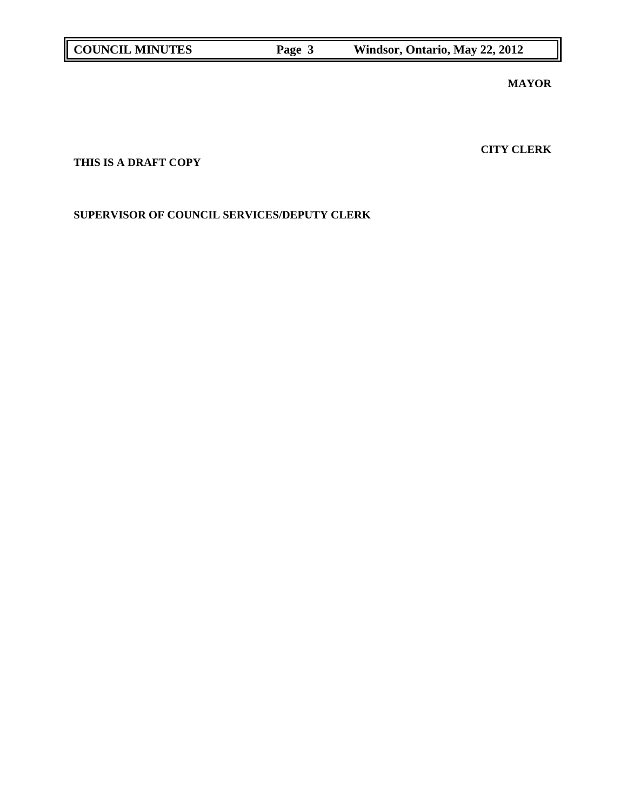**MAYOR**

**CITY CLERK**

# **THIS IS A DRAFT COPY**

**SUPERVISOR OF COUNCIL SERVICES/DEPUTY CLERK**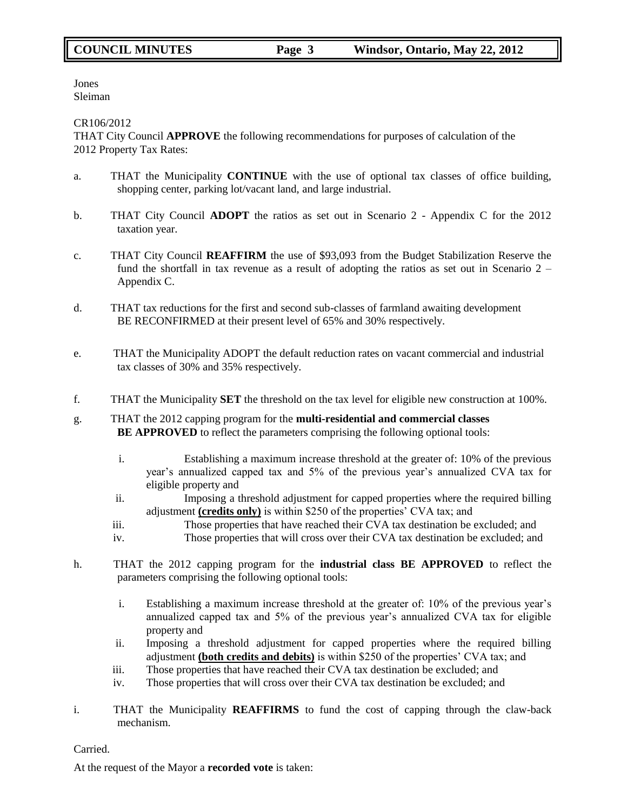Jones Sleiman

CR106/2012

THAT City Council **APPROVE** the following recommendations for purposes of calculation of the 2012 Property Tax Rates:

- a. THAT the Municipality **CONTINUE** with the use of optional tax classes of office building, shopping center, parking lot/vacant land, and large industrial.
- b. THAT City Council **ADOPT** the ratios as set out in Scenario 2 Appendix C for the 2012 taxation year.
- c. THAT City Council **REAFFIRM** the use of \$93,093 from the Budget Stabilization Reserve the fund the shortfall in tax revenue as a result of adopting the ratios as set out in Scenario 2 – Appendix C.
- d. THAT tax reductions for the first and second sub-classes of farmland awaiting development BE RECONFIRMED at their present level of 65% and 30% respectively.
- e. THAT the Municipality ADOPT the default reduction rates on vacant commercial and industrial tax classes of 30% and 35% respectively.
- f. THAT the Municipality **SET** the threshold on the tax level for eligible new construction at 100%.
- g. THAT the 2012 capping program for the **multi-residential and commercial classes BE APPROVED** to reflect the parameters comprising the following optional tools:
	- i. Establishing a maximum increase threshold at the greater of: 10% of the previous year"s annualized capped tax and 5% of the previous year"s annualized CVA tax for eligible property and
	- ii. Imposing a threshold adjustment for capped properties where the required billing adjustment **(credits only)** is within \$250 of the properties" CVA tax; and
	- iii. Those properties that have reached their CVA tax destination be excluded; and
	- iv. Those properties that will cross over their CVA tax destination be excluded; and
- h. THAT the 2012 capping program for the **industrial class BE APPROVED** to reflect the parameters comprising the following optional tools:
	- i. Establishing a maximum increase threshold at the greater of: 10% of the previous year"s annualized capped tax and 5% of the previous year"s annualized CVA tax for eligible property and
	- ii. Imposing a threshold adjustment for capped properties where the required billing adjustment **(both credits and debits)** is within \$250 of the properties" CVA tax; and
	- iii. Those properties that have reached their CVA tax destination be excluded; and
	- iv. Those properties that will cross over their CVA tax destination be excluded; and
- i. THAT the Municipality **REAFFIRMS** to fund the cost of capping through the claw-back mechanism.

Carried.

At the request of the Mayor a **recorded vote** is taken: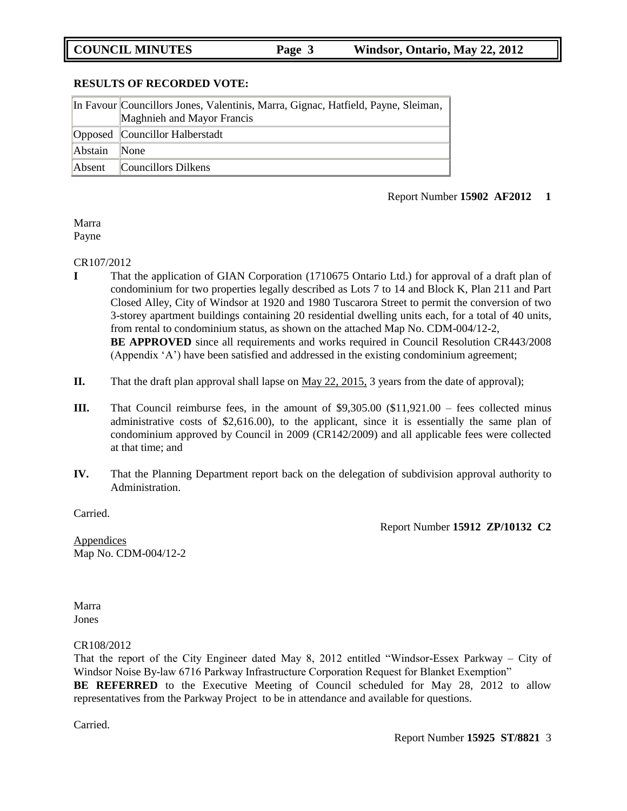**COUNCIL MINUTES Page 3 Windsor, Ontario, May 22, 2012** 

#### **RESULTS OF RECORDED VOTE:**

|         | In Favour Councillors Jones, Valentinis, Marra, Gignac, Hatfield, Payne, Sleiman, |
|---------|-----------------------------------------------------------------------------------|
|         | Maghnieh and Mayor Francis                                                        |
|         | Opposed Councillor Halberstadt                                                    |
| Abstain | <b>None</b>                                                                       |
| Absent  | Councillors Dilkens                                                               |

#### Report Number **15902 AF2012 1**

Marra Payne

#### CR107/2012

- **I** That the application of GIAN Corporation (1710675 Ontario Ltd.) for approval of a draft plan of condominium for two properties legally described as Lots 7 to 14 and Block K, Plan 211 and Part Closed Alley, City of Windsor at 1920 and 1980 Tuscarora Street to permit the conversion of two 3-storey apartment buildings containing 20 residential dwelling units each, for a total of 40 units, from rental to condominium status, as shown on the attached Map No. CDM-004/12-2, **BE APPROVED** since all requirements and works required in Council Resolution CR443/2008 (Appendix "A") have been satisfied and addressed in the existing condominium agreement;
- **II.** That the draft plan approval shall lapse on <u>May 22, 2015</u>, 3 years from the date of approval);
- **III.** That Council reimburse fees, in the amount of \$9,305.00 (\$11,921.00 fees collected minus administrative costs of \$2,616.00), to the applicant, since it is essentially the same plan of condominium approved by Council in 2009 (CR142/2009) and all applicable fees were collected at that time; and
- **IV.** That the Planning Department report back on the delegation of subdivision approval authority to Administration.

Carried.

Report Number **15912 ZP/10132 C2**

**Appendices** Map No. CDM-004/12-2

Marra Jones

CR108/2012

That the report of the City Engineer dated May 8, 2012 entitled "Windsor-Essex Parkway – City of Windsor Noise By-law 6716 Parkway Infrastructure Corporation Request for Blanket Exemption"

**BE REFERRED** to the Executive Meeting of Council scheduled for May 28, 2012 to allow representatives from the Parkway Project to be in attendance and available for questions.

Carried.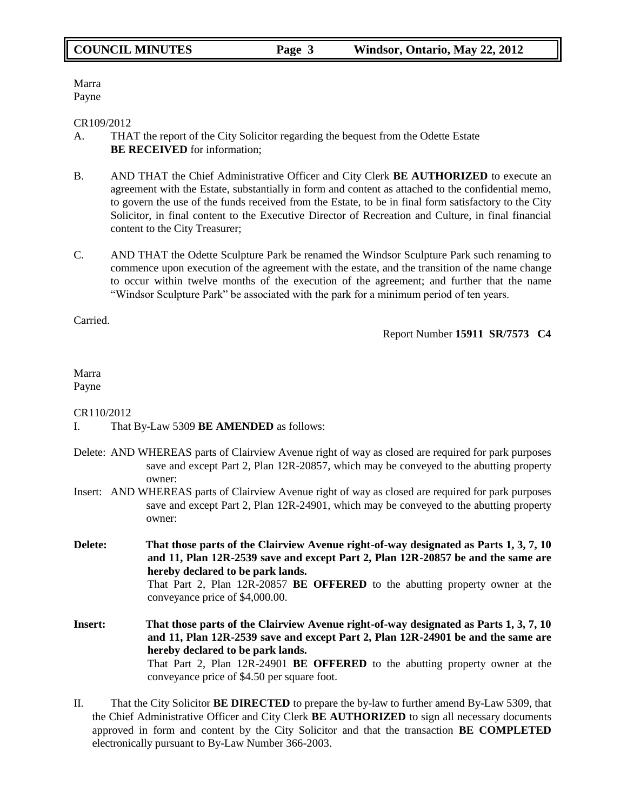Marra Payne

#### CR109/2012

- A. THAT the report of the City Solicitor regarding the bequest from the Odette Estate **BE RECEIVED** for information;
- B. AND THAT the Chief Administrative Officer and City Clerk **BE AUTHORIZED** to execute an agreement with the Estate, substantially in form and content as attached to the confidential memo, to govern the use of the funds received from the Estate, to be in final form satisfactory to the City Solicitor, in final content to the Executive Director of Recreation and Culture, in final financial content to the City Treasurer;
- C. AND THAT the Odette Sculpture Park be renamed the Windsor Sculpture Park such renaming to commence upon execution of the agreement with the estate, and the transition of the name change to occur within twelve months of the execution of the agreement; and further that the name "Windsor Sculpture Park" be associated with the park for a minimum period of ten years.

Carried.

Report Number **15911 SR/7573 C4**

#### Marra Payne

### CR110/2012

- I. That By-Law 5309 **BE AMENDED** as follows:
- Delete: AND WHEREAS parts of Clairview Avenue right of way as closed are required for park purposes save and except Part 2, Plan 12R-20857, which may be conveyed to the abutting property owner:
- Insert: AND WHEREAS parts of Clairview Avenue right of way as closed are required for park purposes save and except Part 2, Plan 12R-24901, which may be conveyed to the abutting property owner:
- **Delete: That those parts of the Clairview Avenue right-of-way designated as Parts 1, 3, 7, 10 and 11, Plan 12R-2539 save and except Part 2, Plan 12R-20857 be and the same are hereby declared to be park lands.** That Part 2, Plan 12R-20857 **BE OFFERED** to the abutting property owner at the conveyance price of \$4,000.00.
- **Insert: That those parts of the Clairview Avenue right-of-way designated as Parts 1, 3, 7, 10 and 11, Plan 12R-2539 save and except Part 2, Plan 12R-24901 be and the same are hereby declared to be park lands.** That Part 2, Plan 12R-24901 **BE OFFERED** to the abutting property owner at the conveyance price of \$4.50 per square foot.
- II. That the City Solicitor **BE DIRECTED** to prepare the by-law to further amend By-Law 5309, that the Chief Administrative Officer and City Clerk **BE AUTHORIZED** to sign all necessary documents approved in form and content by the City Solicitor and that the transaction **BE COMPLETED**  electronically pursuant to By-Law Number 366-2003.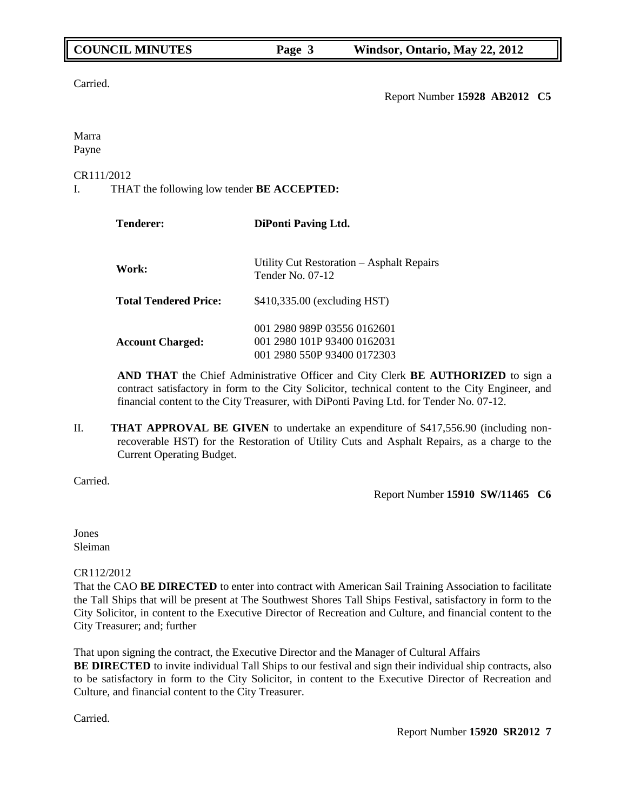Carried.

Report Number **15928 AB2012 C5**

Marra Payne

### CR111/2012

I. THAT the following low tender **BE ACCEPTED:**

| <b>Tenderer:</b>             | <b>DiPonti Paving Ltd.</b>                                                                |  |  |
|------------------------------|-------------------------------------------------------------------------------------------|--|--|
| Work:                        | Utility Cut Restoration – Asphalt Repairs<br>Tender No. $07-12$                           |  |  |
| <b>Total Tendered Price:</b> | \$410,335.00 (excluding HST)                                                              |  |  |
| <b>Account Charged:</b>      | 001 2980 989P 03556 0162601<br>001 2980 101P 93400 0162031<br>001 2980 550P 93400 0172303 |  |  |

**AND THAT** the Chief Administrative Officer and City Clerk **BE AUTHORIZED** to sign a contract satisfactory in form to the City Solicitor, technical content to the City Engineer, and financial content to the City Treasurer, with DiPonti Paving Ltd. for Tender No. 07-12.

II. **THAT APPROVAL BE GIVEN** to undertake an expenditure of \$417,556.90 (including nonrecoverable HST) for the Restoration of Utility Cuts and Asphalt Repairs, as a charge to the Current Operating Budget.

Carried.

Report Number **15910 SW/11465 C6**

Jones Sleiman

### CR112/2012

That the CAO **BE DIRECTED** to enter into contract with American Sail Training Association to facilitate the Tall Ships that will be present at The Southwest Shores Tall Ships Festival, satisfactory in form to the City Solicitor, in content to the Executive Director of Recreation and Culture, and financial content to the City Treasurer; and; further

That upon signing the contract, the Executive Director and the Manager of Cultural Affairs

**BE DIRECTED** to invite individual Tall Ships to our festival and sign their individual ship contracts, also to be satisfactory in form to the City Solicitor, in content to the Executive Director of Recreation and Culture, and financial content to the City Treasurer.

Carried.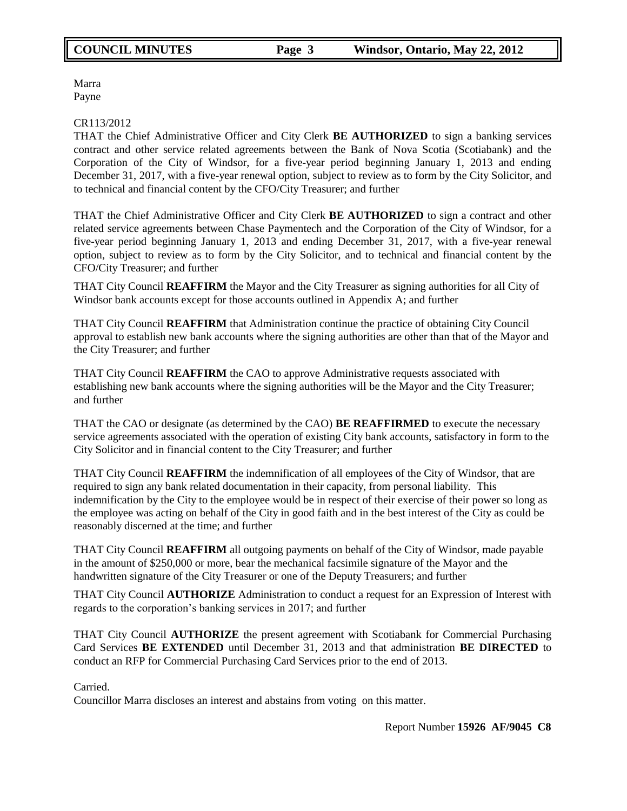Marra Payne

#### CR113/2012

THAT the Chief Administrative Officer and City Clerk **BE AUTHORIZED** to sign a banking services contract and other service related agreements between the Bank of Nova Scotia (Scotiabank) and the Corporation of the City of Windsor, for a five-year period beginning January 1, 2013 and ending December 31, 2017, with a five-year renewal option, subject to review as to form by the City Solicitor, and to technical and financial content by the CFO/City Treasurer; and further

THAT the Chief Administrative Officer and City Clerk **BE AUTHORIZED** to sign a contract and other related service agreements between Chase Paymentech and the Corporation of the City of Windsor, for a five-year period beginning January 1, 2013 and ending December 31, 2017, with a five-year renewal option, subject to review as to form by the City Solicitor, and to technical and financial content by the CFO/City Treasurer; and further

THAT City Council **REAFFIRM** the Mayor and the City Treasurer as signing authorities for all City of Windsor bank accounts except for those accounts outlined in Appendix A; and further

THAT City Council **REAFFIRM** that Administration continue the practice of obtaining City Council approval to establish new bank accounts where the signing authorities are other than that of the Mayor and the City Treasurer; and further

THAT City Council **REAFFIRM** the CAO to approve Administrative requests associated with establishing new bank accounts where the signing authorities will be the Mayor and the City Treasurer; and further

THAT the CAO or designate (as determined by the CAO) **BE REAFFIRMED** to execute the necessary service agreements associated with the operation of existing City bank accounts, satisfactory in form to the City Solicitor and in financial content to the City Treasurer; and further

THAT City Council **REAFFIRM** the indemnification of all employees of the City of Windsor, that are required to sign any bank related documentation in their capacity, from personal liability. This indemnification by the City to the employee would be in respect of their exercise of their power so long as the employee was acting on behalf of the City in good faith and in the best interest of the City as could be reasonably discerned at the time; and further

THAT City Council **REAFFIRM** all outgoing payments on behalf of the City of Windsor, made payable in the amount of \$250,000 or more, bear the mechanical facsimile signature of the Mayor and the handwritten signature of the City Treasurer or one of the Deputy Treasurers; and further

THAT City Council **AUTHORIZE** Administration to conduct a request for an Expression of Interest with regards to the corporation"s banking services in 2017; and further

THAT City Council **AUTHORIZE** the present agreement with Scotiabank for Commercial Purchasing Card Services **BE EXTENDED** until December 31, 2013 and that administration **BE DIRECTED** to conduct an RFP for Commercial Purchasing Card Services prior to the end of 2013.

Carried.

Councillor Marra discloses an interest and abstains from voting on this matter.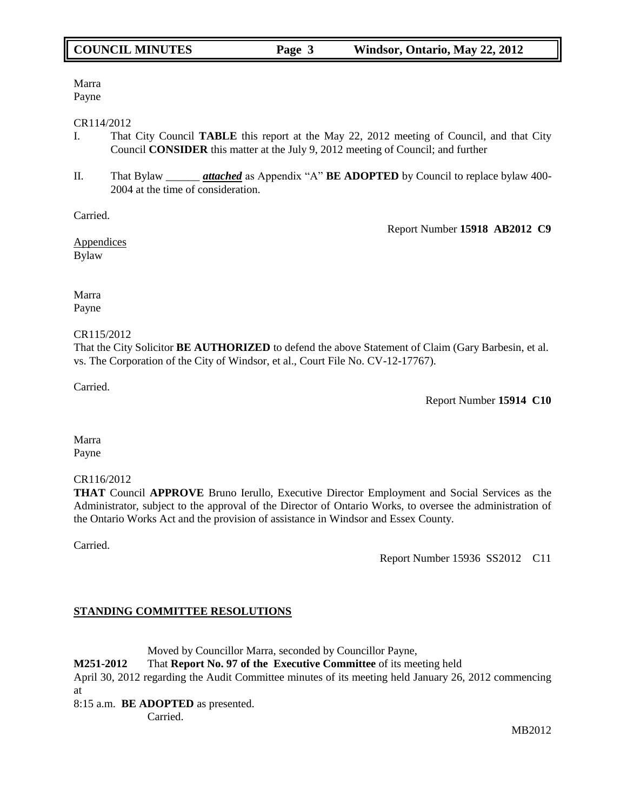# Marra

Payne

### CR114/2012

- I. That City Council **TABLE** this report at the May 22, 2012 meeting of Council, and that City Council **CONSIDER** this matter at the July 9, 2012 meeting of Council; and further
- II. That Bylaw \_\_\_\_\_\_ *attached* as Appendix "A" **BE ADOPTED** by Council to replace bylaw 400- 2004 at the time of consideration.

Carried.

Report Number **15918 AB2012 C9**

Appendices Bylaw

Marra Payne

## CR115/2012

That the City Solicitor **BE AUTHORIZED** to defend the above Statement of Claim (Gary Barbesin, et al. vs. The Corporation of the City of Windsor, et al., Court File No. CV-12-17767).

Carried.

Report Number **15914 C10**

Marra Payne

# CR116/2012

**THAT** Council **APPROVE** Bruno Ierullo, Executive Director Employment and Social Services as the Administrator, subject to the approval of the Director of Ontario Works, to oversee the administration of the Ontario Works Act and the provision of assistance in Windsor and Essex County.

Carried.

Report Number 15936 SS2012 C11

# **STANDING COMMITTEE RESOLUTIONS**

Moved by Councillor Marra, seconded by Councillor Payne,

**M251-2012** That **Report No. 97 of the Executive Committee** of its meeting held

April 30, 2012 regarding the Audit Committee minutes of its meeting held January 26, 2012 commencing at

8:15 a.m. **BE ADOPTED** as presented.

Carried.

MB2012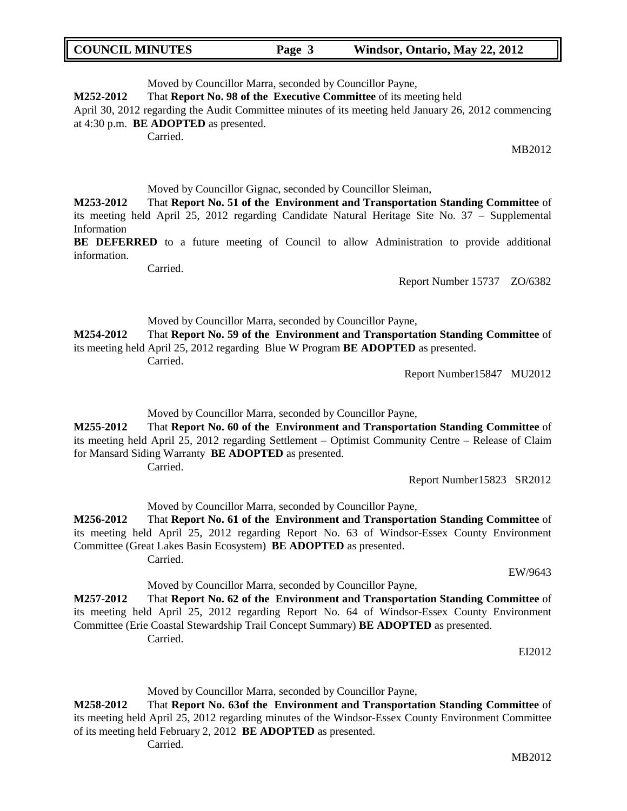| <b>COUNCIL MINUTES</b> | Page 3 | Windsor, Ontario, May 22, 2012 |
|------------------------|--------|--------------------------------|
|------------------------|--------|--------------------------------|

Moved by Councillor Marra, seconded by Councillor Payne,

**M252-2012** That **Report No. 98 of the Executive Committee** of its meeting held

April 30, 2012 regarding the Audit Committee minutes of its meeting held January 26, 2012 commencing at 4:30 p.m. **BE ADOPTED** as presented.

Carried.

MB2012

Moved by Councillor Gignac, seconded by Councillor Sleiman,

**M253-2012** That **Report No. 51 of the Environment and Transportation Standing Committee** of its meeting held April 25, 2012 regarding Candidate Natural Heritage Site No. 37 – Supplemental Information

BE DEFERRED to a future meeting of Council to allow Administration to provide additional information.

**Carried** 

Report Number 15737 ZO/6382

#### Moved by Councillor Marra, seconded by Councillor Payne,

**M254-2012** That **Report No. 59 of the Environment and Transportation Standing Committee** of its meeting held April 25, 2012 regarding Blue W Program **BE ADOPTED** as presented. Carried.

Report Number15847 MU2012

Moved by Councillor Marra, seconded by Councillor Payne,

**M255-2012** That **Report No. 60 of the Environment and Transportation Standing Committee** of its meeting held April 25, 2012 regarding Settlement – Optimist Community Centre – Release of Claim for Mansard Siding Warranty **BE ADOPTED** as presented. Carried.

Report Number15823 SR2012

Moved by Councillor Marra, seconded by Councillor Payne,

**M256-2012** That **Report No. 61 of the Environment and Transportation Standing Committee** of its meeting held April 25, 2012 regarding Report No. 63 of Windsor-Essex County Environment Committee (Great Lakes Basin Ecosystem) **BE ADOPTED** as presented. Carried.

EW/9643

Moved by Councillor Marra, seconded by Councillor Payne,

**M257-2012** That **Report No. 62 of the Environment and Transportation Standing Committee** of its meeting held April 25, 2012 regarding Report No. 64 of Windsor-Essex County Environment Committee (Erie Coastal Stewardship Trail Concept Summary) **BE ADOPTED** as presented. Carried.

EI2012

Moved by Councillor Marra, seconded by Councillor Payne,

**M258-2012** That **Report No. 63of the Environment and Transportation Standing Committee** of its meeting held April 25, 2012 regarding minutes of the Windsor-Essex County Environment Committee of its meeting held February 2, 2012 **BE ADOPTED** as presented.

Carried.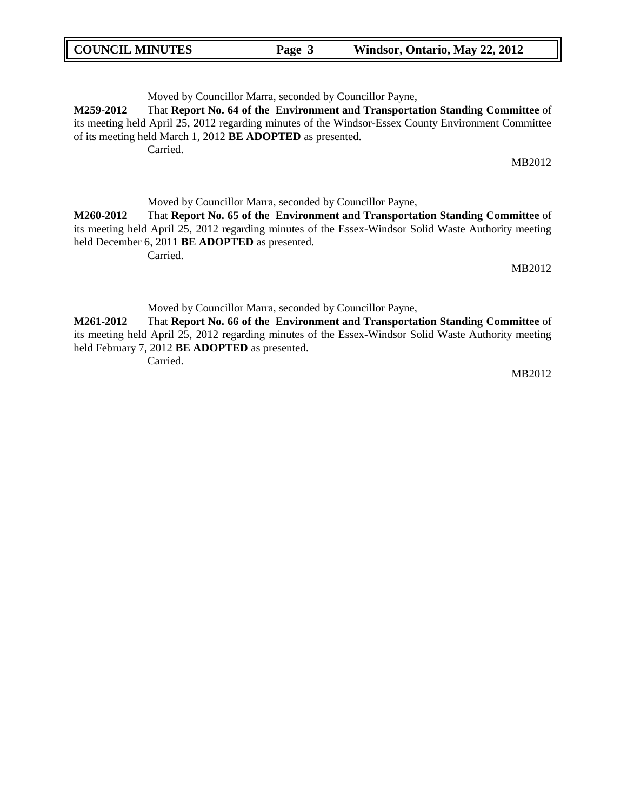| <b>COUNCIL MINUTES</b> | Page 3 | Windsor, Ontario, May 22, 2012 |
|------------------------|--------|--------------------------------|
|                        |        |                                |

Moved by Councillor Marra, seconded by Councillor Payne,

**M259-2012** That **Report No. 64 of the Environment and Transportation Standing Committee** of its meeting held April 25, 2012 regarding minutes of the Windsor-Essex County Environment Committee of its meeting held March 1, 2012 **BE ADOPTED** as presented.

Carried.

MB2012

Moved by Councillor Marra, seconded by Councillor Payne,

**M260-2012** That **Report No. 65 of the Environment and Transportation Standing Committee** of its meeting held April 25, 2012 regarding minutes of the Essex-Windsor Solid Waste Authority meeting held December 6, 2011 **BE ADOPTED** as presented.

Carried.

MB2012

Moved by Councillor Marra, seconded by Councillor Payne,

**M261-2012** That **Report No. 66 of the Environment and Transportation Standing Committee** of its meeting held April 25, 2012 regarding minutes of the Essex-Windsor Solid Waste Authority meeting held February 7, 2012 **BE ADOPTED** as presented.

Carried.

MB2012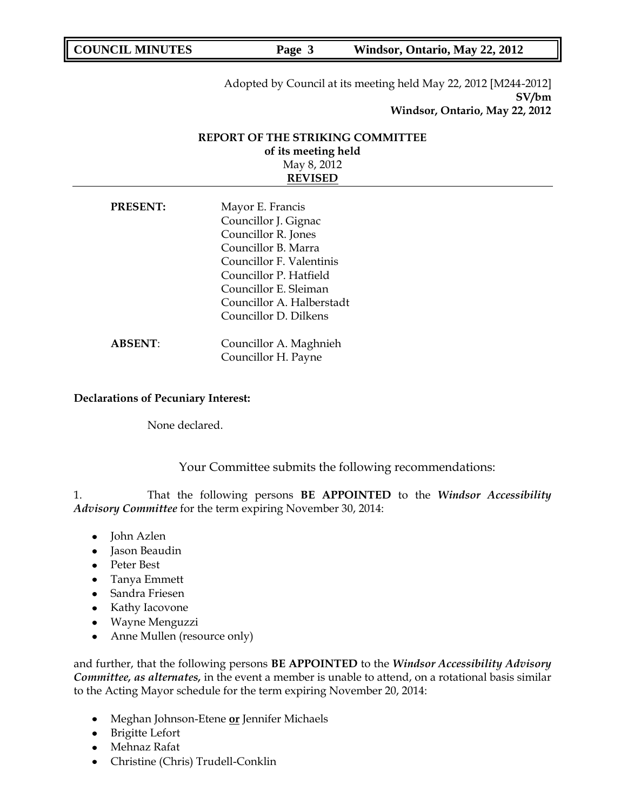Page 3 Windsor, Ontario, May 22, 2012

Adopted by Council at its meeting held May 22, 2012 [M244-2012] **SV/bm Windsor, Ontario, May 22, 2012**

# **REPORT OF THE STRIKING COMMITTEE of its meeting held** May 8, 2012 **REVISED**

| <b>PRESENT:</b> | Mayor E. Francis          |  |
|-----------------|---------------------------|--|
|                 | Councillor J. Gignac      |  |
|                 | Councillor R. Jones       |  |
|                 | Councillor B. Marra       |  |
|                 | Councillor F. Valentinis  |  |
|                 | Councillor P. Hatfield    |  |
|                 | Councillor E. Sleiman     |  |
|                 | Councillor A. Halberstadt |  |
|                 | Councillor D. Dilkens     |  |
|                 |                           |  |
| <b>ABSENT:</b>  | Councillor A. Maghnieh    |  |
|                 | Councillor H. Payne       |  |

### **Declarations of Pecuniary Interest:**

None declared.

Your Committee submits the following recommendations:

1. That the following persons **BE APPOINTED** to the *Windsor Accessibility Advisory Committee* for the term expiring November 30, 2014:

- John Azlen
- Jason Beaudin
- Peter Best
- Tanya Emmett
- Sandra Friesen
- Kathy Iacovone
- Wayne Menguzzi  $\bullet$
- Anne Mullen (resource only)  $\bullet$

and further, that the following persons **BE APPOINTED** to the *Windsor Accessibility Advisory Committee, as alternates,* in the event a member is unable to attend, on a rotational basis similar to the Acting Mayor schedule for the term expiring November 20, 2014:

- Meghan Johnson-Etene **or** Jennifer Michaels
- Brigitte Lefort
- Mehnaz Rafat
- Christine (Chris) Trudell-Conklin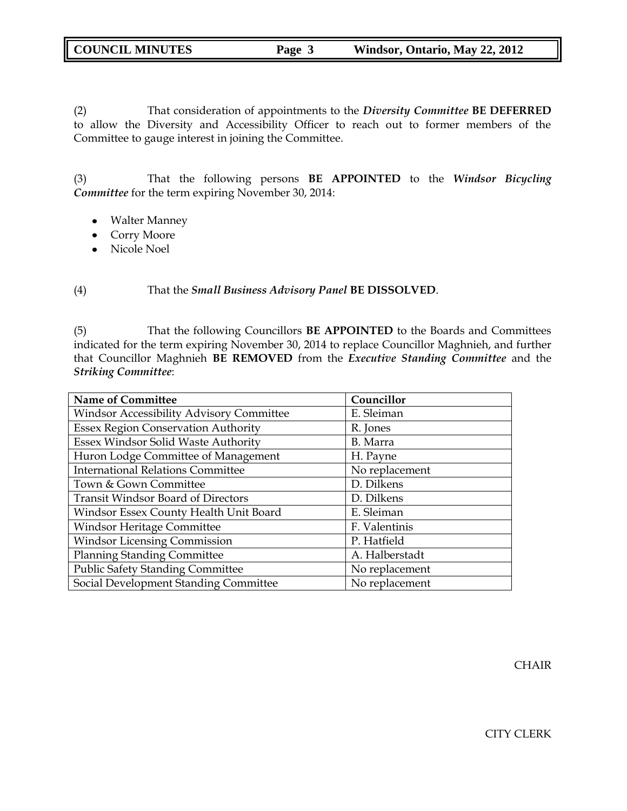| <b>COUNCIL MINUTES</b> | Page 3 | Windsor, Ontario, May 22, 2012 |
|------------------------|--------|--------------------------------|
|                        |        |                                |

(2) That consideration of appointments to the *Diversity Committee* **BE DEFERRED** to allow the Diversity and Accessibility Officer to reach out to former members of the Committee to gauge interest in joining the Committee.

(3) That the following persons **BE APPOINTED** to the *Windsor Bicycling Committee* for the term expiring November 30, 2014:

- Walter Manney
- Corry Moore
- Nicole Noel

(4) That the *Small Business Advisory Panel* **BE DISSOLVED**.

(5) That the following Councillors **BE APPOINTED** to the Boards and Committees indicated for the term expiring November 30, 2014 to replace Councillor Maghnieh, and further that Councillor Maghnieh **BE REMOVED** from the *Executive Standing Committee* and the *Striking Committee*:

| <b>Name of Committee</b>                        | Councillor     |
|-------------------------------------------------|----------------|
| <b>Windsor Accessibility Advisory Committee</b> | E. Sleiman     |
| <b>Essex Region Conservation Authority</b>      | R. Jones       |
| Essex Windsor Solid Waste Authority             | B. Marra       |
| Huron Lodge Committee of Management             | H. Payne       |
| <b>International Relations Committee</b>        | No replacement |
| Town & Gown Committee                           | D. Dilkens     |
| <b>Transit Windsor Board of Directors</b>       | D. Dilkens     |
| Windsor Essex County Health Unit Board          | E. Sleiman     |
| Windsor Heritage Committee                      | F. Valentinis  |
| <b>Windsor Licensing Commission</b>             | P. Hatfield    |
| <b>Planning Standing Committee</b>              | A. Halberstadt |
| <b>Public Safety Standing Committee</b>         | No replacement |
| Social Development Standing Committee           | No replacement |

**CHAIR**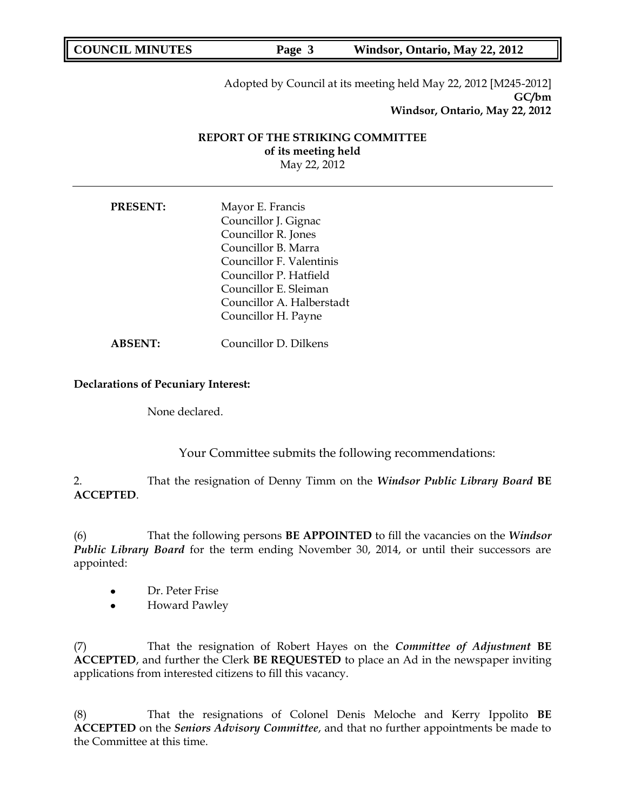Page 3 Windsor, Ontario, May 22, 2012

Adopted by Council at its meeting held May 22, 2012 [M245-2012] **GC/bm Windsor, Ontario, May 22, 2012**

# **REPORT OF THE STRIKING COMMITTEE of its meeting held** May 22, 2012

| <b>PRESENT:</b> | Mayor E. Francis<br>Councillor J. Gignac<br>Councillor R. Jones<br>Councillor B. Marra<br>Councillor F. Valentinis<br>Councillor P. Hatfield<br>Councillor E. Sleiman |
|-----------------|-----------------------------------------------------------------------------------------------------------------------------------------------------------------------|
|                 | Councillor A. Halberstadt<br>Councillor H. Payne                                                                                                                      |
| ABSENT:         | Councillor D. Dilkens                                                                                                                                                 |

### **Declarations of Pecuniary Interest:**

None declared.

Your Committee submits the following recommendations:

2. That the resignation of Denny Timm on the *Windsor Public Library Board* **BE ACCEPTED**.

(6) That the following persons **BE APPOINTED** to fill the vacancies on the *Windsor Public Library Board* for the term ending November 30, 2014, or until their successors are appointed:

- Dr. Peter Frise  $\bullet$
- $\bullet$ Howard Pawley

(7) That the resignation of Robert Hayes on the *Committee of Adjustment* **BE ACCEPTED**, and further the Clerk **BE REQUESTED** to place an Ad in the newspaper inviting applications from interested citizens to fill this vacancy.

(8) That the resignations of Colonel Denis Meloche and Kerry Ippolito **BE ACCEPTED** on the *Seniors Advisory Committee*, and that no further appointments be made to the Committee at this time.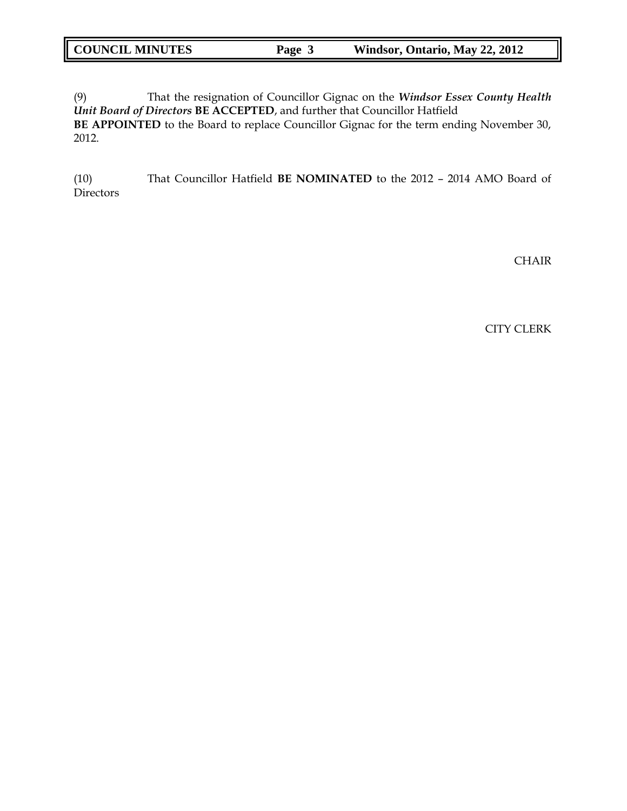| <b>COUNCIL MINUTES</b> | Page 3 | Windsor, Ontario, May 22, 2012 |
|------------------------|--------|--------------------------------|
|                        |        |                                |

(9) That the resignation of Councillor Gignac on the *Windsor Essex County Health Unit Board of Directors* **BE ACCEPTED**, and further that Councillor Hatfield **BE APPOINTED** to the Board to replace Councillor Gignac for the term ending November 30, 2012.

(10) That Councillor Hatfield **BE NOMINATED** to the 2012 – 2014 AMO Board of Directors

CHAIR

CITY CLERK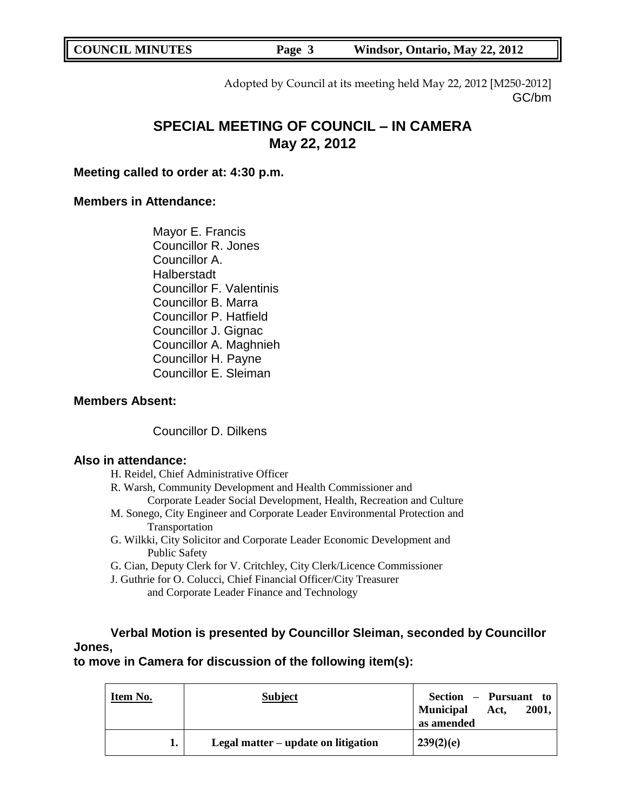**COUNCIL MINUTES Page 3 Windsor, Ontario, May 22, 2012** 

Adopted by Council at its meeting held May 22, 2012 [M250-2012] GC/bm

# **SPECIAL MEETING OF COUNCIL – IN CAMERA May 22, 2012**

**Meeting called to order at: 4:30 p.m.**

# **Members in Attendance:**

Mayor E. Francis Councillor R. Jones Councillor A. Halberstadt Councillor F. Valentinis Councillor B. Marra Councillor P. Hatfield Councillor J. Gignac Councillor A. Maghnieh Councillor H. Payne Councillor E. Sleiman

# **Members Absent:**

Councillor D. Dilkens

# **Also in attendance:**

H. Reidel, Chief Administrative Officer

R. Warsh, Community Development and Health Commissioner and Corporate Leader Social Development, Health, Recreation and Culture

- M. Sonego, City Engineer and Corporate Leader Environmental Protection and Transportation
- G. Wilkki, City Solicitor and Corporate Leader Economic Development and Public Safety
- G. Cian, Deputy Clerk for V. Critchley, City Clerk/Licence Commissioner
- J. Guthrie for O. Colucci, Chief Financial Officer/City Treasurer and Corporate Leader Finance and Technology

# **Verbal Motion is presented by Councillor Sleiman, seconded by Councillor Jones,**

**to move in Camera for discussion of the following item(s):**

| Item No. | <b>Subject</b>                      | Section – Pursuant to<br>Act,<br><b>Municipal</b><br>2001,<br>as amended |
|----------|-------------------------------------|--------------------------------------------------------------------------|
| ı.       | Legal matter – update on litigation | 239(2)(e)                                                                |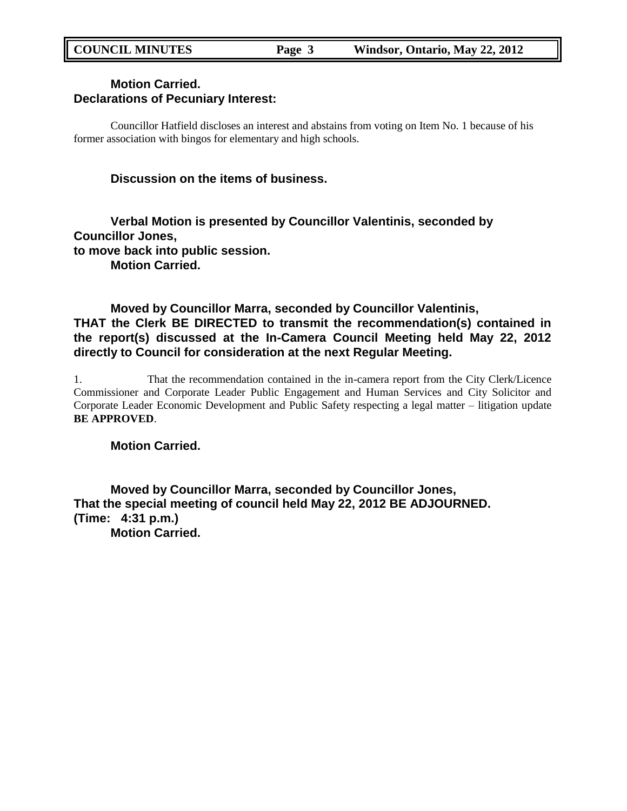# **Motion Carried. Declarations of Pecuniary Interest:**

Councillor Hatfield discloses an interest and abstains from voting on Item No. 1 because of his former association with bingos for elementary and high schools.

# **Discussion on the items of business.**

# **Verbal Motion is presented by Councillor Valentinis, seconded by Councillor Jones, to move back into public session. Motion Carried.**

# **Moved by Councillor Marra, seconded by Councillor Valentinis, THAT the Clerk BE DIRECTED to transmit the recommendation(s) contained in the report(s) discussed at the In-Camera Council Meeting held May 22, 2012 directly to Council for consideration at the next Regular Meeting.**

1. That the recommendation contained in the in-camera report from the City Clerk/Licence Commissioner and Corporate Leader Public Engagement and Human Services and City Solicitor and Corporate Leader Economic Development and Public Safety respecting a legal matter – litigation update **BE APPROVED**.

**Motion Carried.**

**Moved by Councillor Marra, seconded by Councillor Jones, That the special meeting of council held May 22, 2012 BE ADJOURNED. (Time: 4:31 p.m.) Motion Carried.**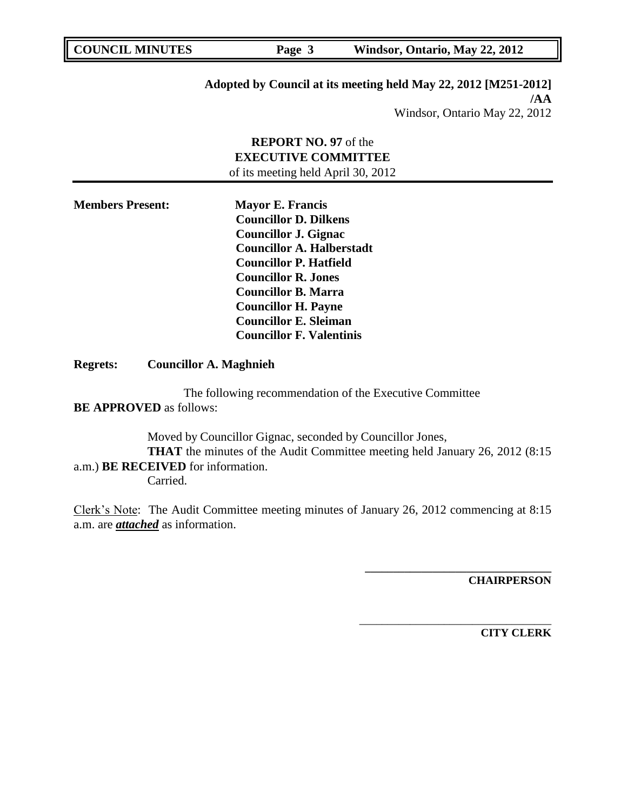Page 3 Windsor, Ontario, May 22, 2012

# **Adopted by Council at its meeting held May 22, 2012 [M251-2012] /AA**

Windsor, Ontario May 22, 2012

# **REPORT NO. 97** of the **EXECUTIVE COMMITTEE** of its meeting held April 30, 2012

| <b>Members Present:</b> | <b>Mayor E. Francis</b>          |
|-------------------------|----------------------------------|
|                         | <b>Councillor D. Dilkens</b>     |
|                         | <b>Councillor J. Gignac</b>      |
|                         | <b>Councillor A. Halberstadt</b> |
|                         | <b>Councillor P. Hatfield</b>    |
|                         | <b>Councillor R. Jones</b>       |
|                         | <b>Councillor B. Marra</b>       |
|                         | <b>Councillor H. Payne</b>       |
|                         | <b>Councillor E. Sleiman</b>     |
|                         | <b>Councillor F. Valentinis</b>  |

**Regrets: Councillor A. Maghnieh**

The following recommendation of the Executive Committee **BE APPROVED** as follows:

Moved by Councillor Gignac, seconded by Councillor Jones, **THAT** the minutes of the Audit Committee meeting held January 26, 2012 (8:15) a.m.) **BE RECEIVED** for information. Carried.

Clerk"s Note: The Audit Committee meeting minutes of January 26, 2012 commencing at 8:15 a.m. are *attached* as information.

**CHAIRPERSON**

**\_\_\_\_\_\_\_\_\_\_\_\_\_\_\_\_\_\_\_\_\_\_\_\_\_\_\_\_\_\_\_\_\_**

\_\_\_\_\_\_\_\_\_\_\_\_\_\_\_\_\_\_\_\_\_\_\_\_\_\_\_\_\_\_\_\_\_\_

**CITY CLERK**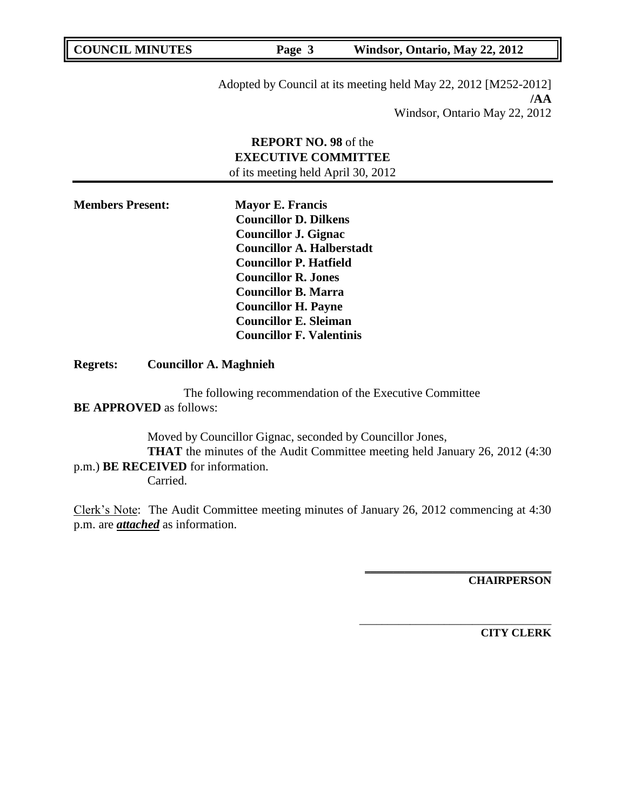**COUNCIL MINUTES Page 3 Windsor, Ontario, May 22, 2012** 

Adopted by Council at its meeting held May 22, 2012 [M252-2012] **/AA** Windsor, Ontario May 22, 2012

# **REPORT NO. 98** of the **EXECUTIVE COMMITTEE** of its meeting held April 30, 2012

**Members Present: Mayor E. Francis Councillor D. Dilkens Councillor J. Gignac Councillor A. Halberstadt Councillor P. Hatfield Councillor R. Jones Councillor B. Marra Councillor H. Payne Councillor E. Sleiman Councillor F. Valentinis**

**Regrets: Councillor A. Maghnieh**

The following recommendation of the Executive Committee **BE APPROVED** as follows:

Moved by Councillor Gignac, seconded by Councillor Jones, **THAT** the minutes of the Audit Committee meeting held January 26, 2012 (4:30) p.m.) **BE RECEIVED** for information. Carried.

Clerk"s Note: The Audit Committee meeting minutes of January 26, 2012 commencing at 4:30 p.m. are *attached* as information.

**CHAIRPERSON**

**\_\_\_\_\_\_\_\_\_\_\_\_\_\_\_\_\_\_\_\_\_\_\_\_\_\_\_\_\_\_\_\_\_**

\_\_\_\_\_\_\_\_\_\_\_\_\_\_\_\_\_\_\_\_\_\_\_\_\_\_\_\_\_\_\_\_\_\_

**CITY CLERK**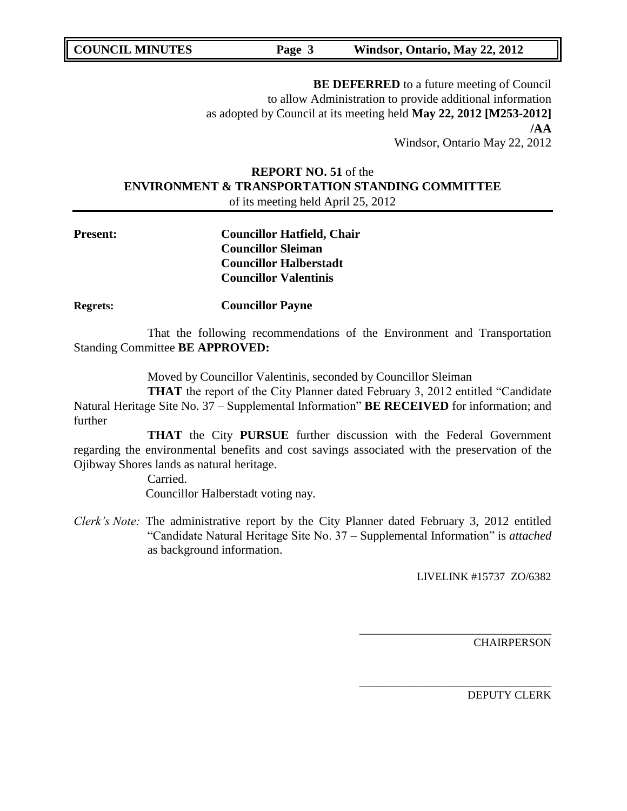**COUNCIL MINUTES Page 3 Windsor, Ontario, May 22, 2012** 

**BE DEFERRED** to a future meeting of Council to allow Administration to provide additional information as adopted by Council at its meeting held **May 22, 2012 [M253-2012] /AA** Windsor, Ontario May 22, 2012

# **REPORT NO. 51** of the **ENVIRONMENT & TRANSPORTATION STANDING COMMITTEE** of its meeting held April 25, 2012

**Present: Councillor Hatfield, Chair Councillor Sleiman Councillor Halberstadt Councillor Valentinis**

**Regrets: Councillor Payne**

That the following recommendations of the Environment and Transportation Standing Committee **BE APPROVED:** 

Moved by Councillor Valentinis, seconded by Councillor Sleiman

**THAT** the report of the City Planner dated February 3, 2012 entitled "Candidate" Natural Heritage Site No. 37 – Supplemental Information" **BE RECEIVED** for information; and further

**THAT** the City **PURSUE** further discussion with the Federal Government regarding the environmental benefits and cost savings associated with the preservation of the Ojibway Shores lands as natural heritage.

> Carried. Councillor Halberstadt voting nay.

*Clerk's Note:* The administrative report by the City Planner dated February 3, 2012 entitled "Candidate Natural Heritage Site No. 37 – Supplemental Information" is *attached* as background information.

LIVELINK #15737 ZO/6382

\_\_\_\_\_\_\_\_\_\_\_\_\_\_\_\_\_\_\_\_\_\_\_\_\_\_\_\_\_\_\_\_\_\_

\_\_\_\_\_\_\_\_\_\_\_\_\_\_\_\_\_\_\_\_\_\_\_\_\_\_\_\_\_\_\_\_\_\_

**CHAIRPERSON**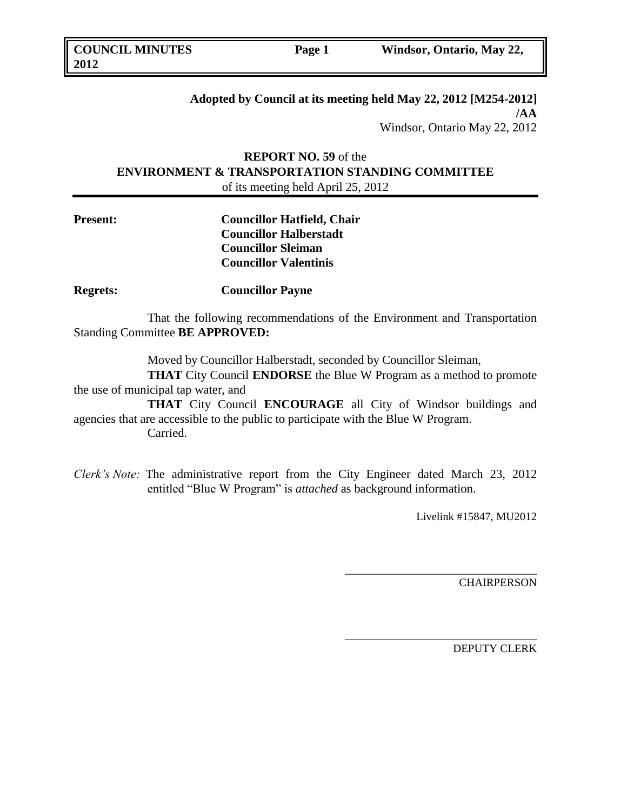# **Adopted by Council at its meeting held May 22, 2012 [M254-2012] /AA** Windsor, Ontario May 22, 2012

# **REPORT NO. 59** of the **ENVIRONMENT & TRANSPORTATION STANDING COMMITTEE** of its meeting held April 25, 2012

| <b>Present:</b> | <b>Councillor Hatfield, Chair</b> |
|-----------------|-----------------------------------|
|                 | <b>Councillor Halberstadt</b>     |
|                 | <b>Councillor Sleiman</b>         |
|                 | <b>Councillor Valentinis</b>      |

**Regrets: Councillor Payne**

That the following recommendations of the Environment and Transportation Standing Committee **BE APPROVED:** 

Moved by Councillor Halberstadt, seconded by Councillor Sleiman,

**THAT** City Council **ENDORSE** the Blue W Program as a method to promote the use of municipal tap water, and

**THAT** City Council **ENCOURAGE** all City of Windsor buildings and agencies that are accessible to the public to participate with the Blue W Program. Carried.

*Clerk's Note:* The administrative report from the City Engineer dated March 23, 2012 entitled "Blue W Program" is *attached* as background information.

Livelink #15847, MU2012

\_\_\_\_\_\_\_\_\_\_\_\_\_\_\_\_\_\_\_\_\_\_\_\_\_\_\_\_\_\_\_\_\_\_

\_\_\_\_\_\_\_\_\_\_\_\_\_\_\_\_\_\_\_\_\_\_\_\_\_\_\_\_\_\_\_\_\_\_

**CHAIRPERSON**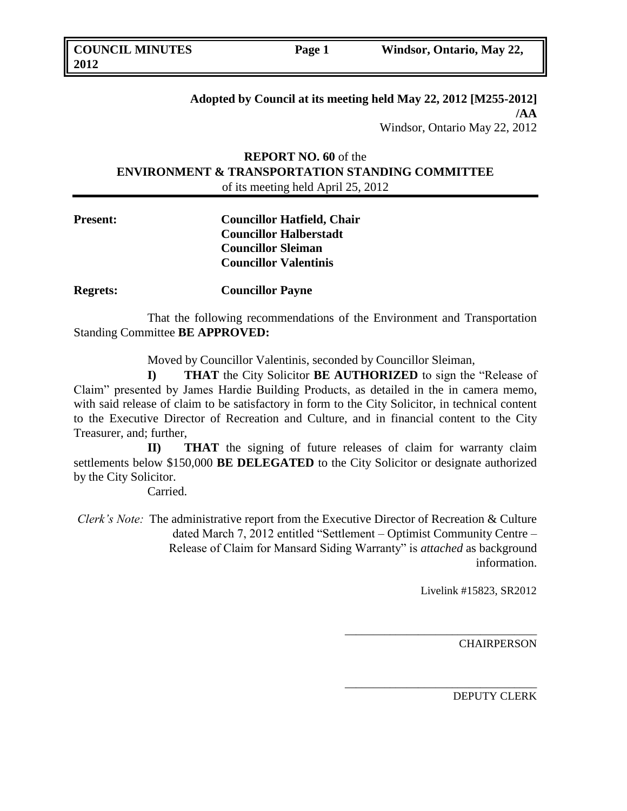# **Adopted by Council at its meeting held May 22, 2012 [M255-2012] /AA** Windsor, Ontario May 22, 2012

# **REPORT NO. 60** of the **ENVIRONMENT & TRANSPORTATION STANDING COMMITTEE** of its meeting held April 25, 2012

**Present: Councillor Hatfield, Chair Councillor Halberstadt Councillor Sleiman Councillor Valentinis**

**Regrets: Councillor Payne**

That the following recommendations of the Environment and Transportation Standing Committee **BE APPROVED:** 

Moved by Councillor Valentinis, seconded by Councillor Sleiman,

**I) THAT** the City Solicitor **BE AUTHORIZED** to sign the "Release of Claim" presented by James Hardie Building Products, as detailed in the in camera memo, with said release of claim to be satisfactory in form to the City Solicitor, in technical content to the Executive Director of Recreation and Culture, and in financial content to the City Treasurer, and; further,

**II) THAT** the signing of future releases of claim for warranty claim settlements below \$150,000 **BE DELEGATED** to the City Solicitor or designate authorized by the City Solicitor.

Carried.

*Clerk's Note:* The administrative report from the Executive Director of Recreation & Culture dated March 7, 2012 entitled "Settlement – Optimist Community Centre – Release of Claim for Mansard Siding Warranty" is *attached* as background information.

Livelink #15823, SR2012

*\_\_\_\_\_\_\_\_\_\_\_\_\_\_\_\_\_\_\_\_\_\_\_\_\_\_\_\_\_\_\_\_\_\_*

\_\_\_\_\_\_\_\_\_\_\_\_\_\_\_\_\_\_\_\_\_\_\_\_\_\_\_\_\_\_\_\_\_\_

**CHAIRPERSON**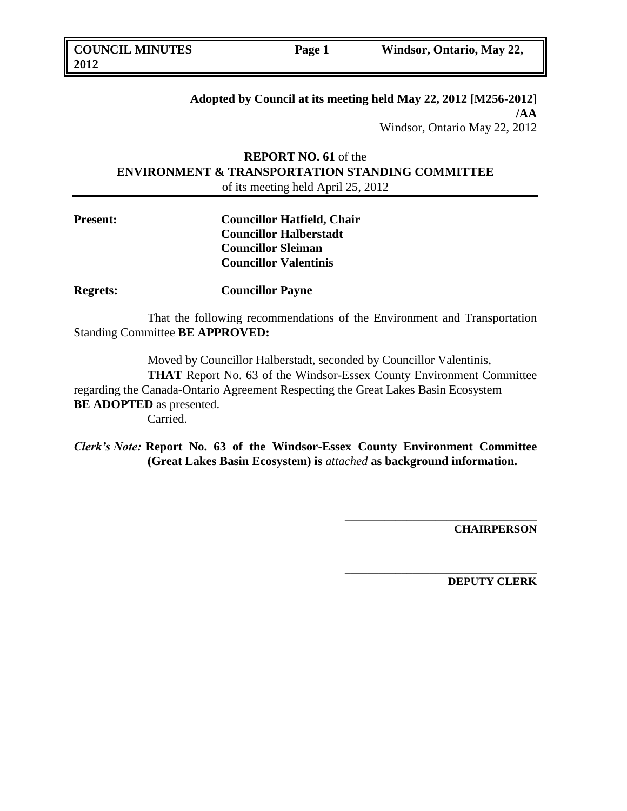# **Adopted by Council at its meeting held May 22, 2012 [M256-2012] /AA** Windsor, Ontario May 22, 2012

# **REPORT NO. 61** of the **ENVIRONMENT & TRANSPORTATION STANDING COMMITTEE** of its meeting held April 25, 2012

| <b>Present:</b> | <b>Councillor Hatfield, Chair</b> |
|-----------------|-----------------------------------|
|                 | <b>Councillor Halberstadt</b>     |
|                 | <b>Councillor Sleiman</b>         |
|                 | <b>Councillor Valentinis</b>      |
|                 |                                   |

**Regrets: Councillor Payne**

That the following recommendations of the Environment and Transportation Standing Committee **BE APPROVED:** 

Moved by Councillor Halberstadt, seconded by Councillor Valentinis,

**THAT** Report No. 63 of the Windsor-Essex County Environment Committee regarding the Canada-Ontario Agreement Respecting the Great Lakes Basin Ecosystem **BE ADOPTED** as presented. Carried.

*Clerk's Note:* **Report No. 63 of the Windsor-Essex County Environment Committee (Great Lakes Basin Ecosystem) is** *attached* **as background information.**

**CHAIRPERSON**

**\_\_\_\_\_\_\_\_\_\_\_\_\_\_\_\_\_\_\_\_\_\_\_\_\_\_\_\_\_\_\_\_\_\_**

\_\_\_\_\_\_\_\_\_\_\_\_\_\_\_\_\_\_\_\_\_\_\_\_\_\_\_\_\_\_\_\_\_\_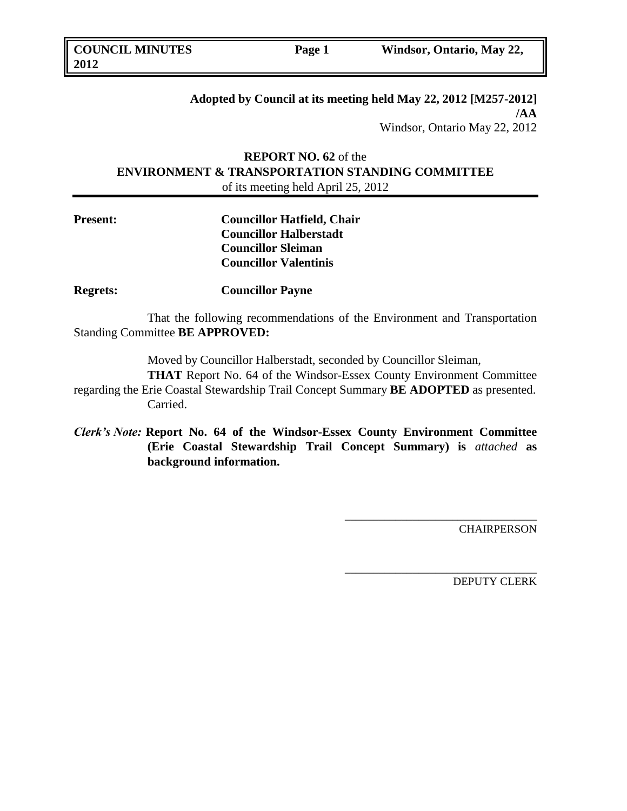# **Adopted by Council at its meeting held May 22, 2012 [M257-2012] /AA** Windsor, Ontario May 22, 2012

# **REPORT NO. 62** of the **ENVIRONMENT & TRANSPORTATION STANDING COMMITTEE** of its meeting held April 25, 2012

| <b>Present:</b> | <b>Councillor Hatfield, Chair</b> |
|-----------------|-----------------------------------|
|                 | <b>Councillor Halberstadt</b>     |
|                 | <b>Councillor Sleiman</b>         |
|                 | <b>Councillor Valentinis</b>      |

**Regrets: Councillor Payne**

That the following recommendations of the Environment and Transportation Standing Committee **BE APPROVED:** 

Moved by Councillor Halberstadt, seconded by Councillor Sleiman,

**THAT** Report No. 64 of the Windsor-Essex County Environment Committee regarding the Erie Coastal Stewardship Trail Concept Summary **BE ADOPTED** as presented. Carried.

*Clerk's Note:* **Report No. 64 of the Windsor-Essex County Environment Committee (Erie Coastal Stewardship Trail Concept Summary) is** *attached* **as background information.**

CHAIRPERSON

\_\_\_\_\_\_\_\_\_\_\_\_\_\_\_\_\_\_\_\_\_\_\_\_\_\_\_\_\_\_\_\_\_\_

\_\_\_\_\_\_\_\_\_\_\_\_\_\_\_\_\_\_\_\_\_\_\_\_\_\_\_\_\_\_\_\_\_\_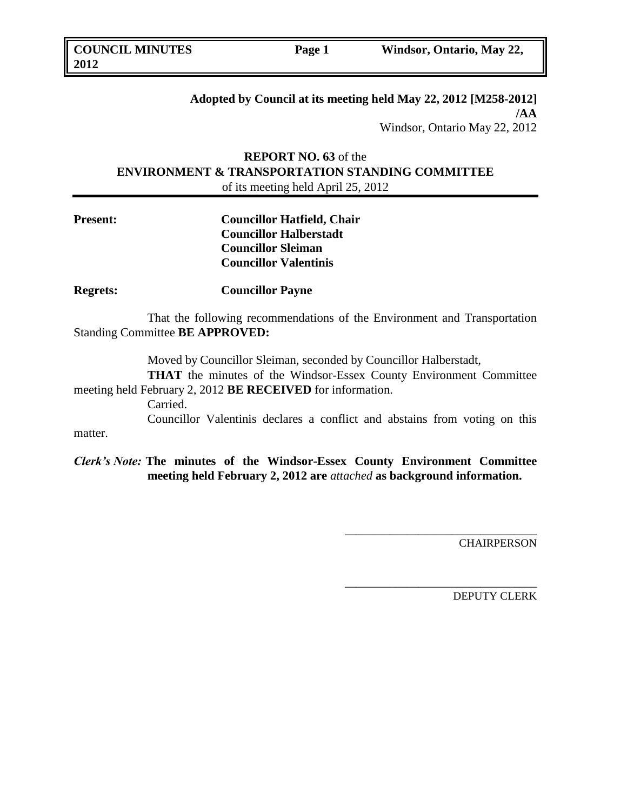# **Adopted by Council at its meeting held May 22, 2012 [M258-2012] /AA** Windsor, Ontario May 22, 2012

# **REPORT NO. 63** of the **ENVIRONMENT & TRANSPORTATION STANDING COMMITTEE** of its meeting held April 25, 2012

| <b>Present:</b> | <b>Councillor Hatfield, Chair</b> |
|-----------------|-----------------------------------|
|                 | <b>Councillor Halberstadt</b>     |
|                 | <b>Councillor Sleiman</b>         |
|                 | <b>Councillor Valentinis</b>      |

**Regrets: Councillor Payne**

That the following recommendations of the Environment and Transportation Standing Committee **BE APPROVED:** 

Moved by Councillor Sleiman, seconded by Councillor Halberstadt,

**THAT** the minutes of the Windsor-Essex County Environment Committee meeting held February 2, 2012 **BE RECEIVED** for information.

Carried.

Councillor Valentinis declares a conflict and abstains from voting on this matter.

*Clerk's Note:* **The minutes of the Windsor-Essex County Environment Committee meeting held February 2, 2012 are** *attached* **as background information.**

**CHAIRPERSON** 

\_\_\_\_\_\_\_\_\_\_\_\_\_\_\_\_\_\_\_\_\_\_\_\_\_\_\_\_\_\_\_\_\_\_

\_\_\_\_\_\_\_\_\_\_\_\_\_\_\_\_\_\_\_\_\_\_\_\_\_\_\_\_\_\_\_\_\_\_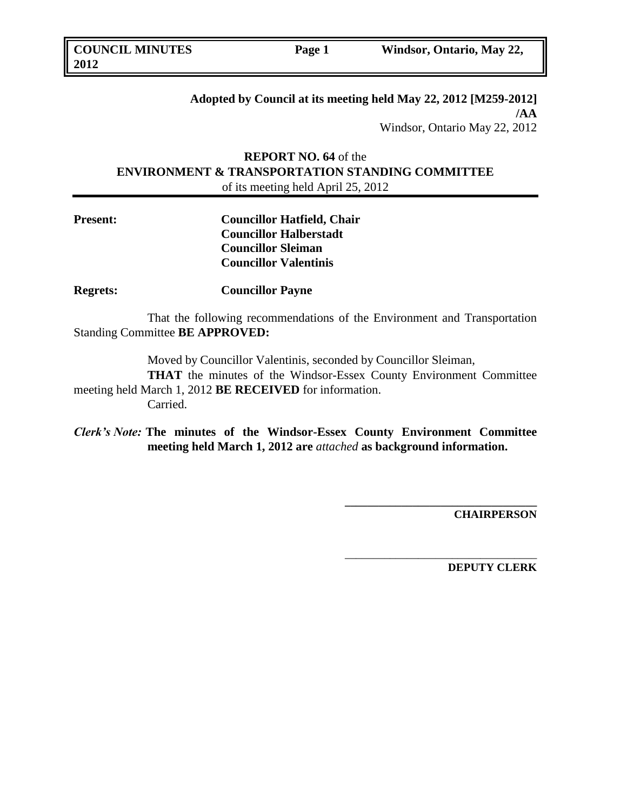# **Adopted by Council at its meeting held May 22, 2012 [M259-2012] /AA** Windsor, Ontario May 22, 2012

# **REPORT NO. 64** of the **ENVIRONMENT & TRANSPORTATION STANDING COMMITTEE** of its meeting held April 25, 2012

| <b>Present:</b> | <b>Councillor Hatfield, Chair</b> |
|-----------------|-----------------------------------|
|                 | <b>Councillor Halberstadt</b>     |
|                 | <b>Councillor Sleiman</b>         |
|                 | <b>Councillor Valentinis</b>      |

**Regrets: Councillor Payne**

That the following recommendations of the Environment and Transportation Standing Committee **BE APPROVED:** 

Moved by Councillor Valentinis, seconded by Councillor Sleiman,

**THAT** the minutes of the Windsor-Essex County Environment Committee meeting held March 1, 2012 **BE RECEIVED** for information. Carried.

*Clerk's Note:* **The minutes of the Windsor-Essex County Environment Committee meeting held March 1, 2012 are** *attached* **as background information.**

**CHAIRPERSON**

**\_\_\_\_\_\_\_\_\_\_\_\_\_\_\_\_\_\_\_\_\_\_\_\_\_\_\_\_\_\_\_\_\_\_**

\_\_\_\_\_\_\_\_\_\_\_\_\_\_\_\_\_\_\_\_\_\_\_\_\_\_\_\_\_\_\_\_\_\_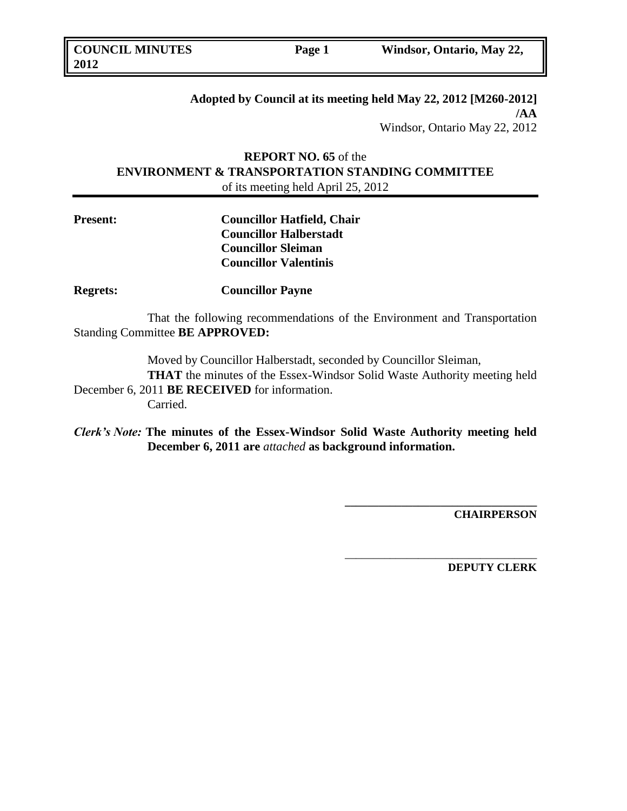# **Adopted by Council at its meeting held May 22, 2012 [M260-2012] /AA** Windsor, Ontario May 22, 2012

# **REPORT NO. 65** of the **ENVIRONMENT & TRANSPORTATION STANDING COMMITTEE** of its meeting held April 25, 2012

| <b>Present:</b> | <b>Councillor Hatfield, Chair</b> |
|-----------------|-----------------------------------|
|                 | <b>Councillor Halberstadt</b>     |
|                 | <b>Councillor Sleiman</b>         |
|                 | <b>Councillor Valentinis</b>      |

**Regrets: Councillor Payne**

That the following recommendations of the Environment and Transportation Standing Committee **BE APPROVED:** 

Moved by Councillor Halberstadt, seconded by Councillor Sleiman,

**THAT** the minutes of the Essex-Windsor Solid Waste Authority meeting held December 6, 2011 **BE RECEIVED** for information.

Carried.

*Clerk's Note:* **The minutes of the Essex-Windsor Solid Waste Authority meeting held December 6, 2011 are** *attached* **as background information.**

**CHAIRPERSON**

**\_\_\_\_\_\_\_\_\_\_\_\_\_\_\_\_\_\_\_\_\_\_\_\_\_\_\_\_\_\_\_\_\_\_**

\_\_\_\_\_\_\_\_\_\_\_\_\_\_\_\_\_\_\_\_\_\_\_\_\_\_\_\_\_\_\_\_\_\_